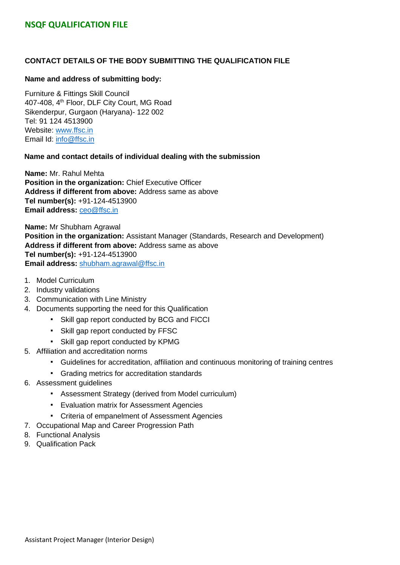### **CONTACT DETAILS OF THE BODY SUBMITTING THE QUALIFICATION FILE**

#### **Name and address of submitting body:**

Furniture & Fittings Skill Council 407-408, 4<sup>th</sup> Floor, DLF City Court, MG Road Sikenderpur, Gurgaon (Haryana)- 122 002 Tel: 91 124 4513900 Website: [www.ffsc.in](http://www.ffsc.in/) Email Id: [info@ffsc.in](mailto:info@ffsc.in)

#### **Name and contact details of individual dealing with the submission**

**Name:** Mr. Rahul Mehta **Position in the organization:** Chief Executive Officer **Address if different from above:** Address same as above **Tel number(s):** +91-124-4513900 **Email address:** [ceo@ffsc.in](mailto:ceo@ffsc.in)

**Name:** Mr Shubham Agrawal **Position in the organization:** Assistant Manager (Standards, Research and Development) **Address if different from above:** Address same as above **Tel number(s):** +91-124-4513900 **Email address:** shubham.agrawal@ffsc.in

- 1. Model Curriculum
- 2. Industry validations
- 3. Communication with Line Ministry
- 4. Documents supporting the need for this Qualification
	- Skill gap report conducted by BCG and FICCI
	- Skill gap report conducted by FFSC
	- Skill gap report conducted by KPMG
- 5. Affiliation and accreditation norms
	- Guidelines for accreditation, affiliation and continuous monitoring of training centres
	- Grading metrics for accreditation standards
- 6. Assessment guidelines
	- Assessment Strategy (derived from Model curriculum)
	- Evaluation matrix for Assessment Agencies
	- Criteria of empanelment of Assessment Agencies
- 7. Occupational Map and Career Progression Path
- 8. Functional Analysis
- 9. Qualification Pack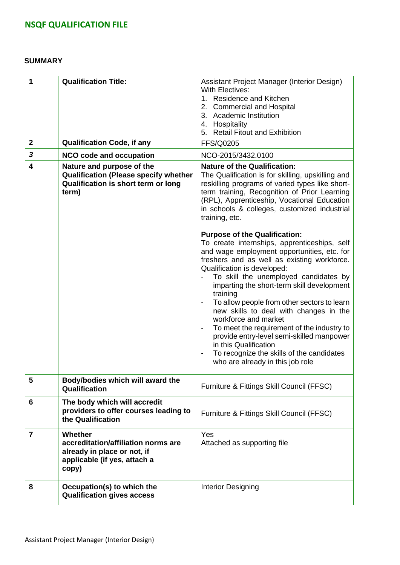#### **SUMMARY**

| 1<br>$\mathbf{2}$ | <b>Qualification Title:</b><br><b>Qualification Code, if any</b>                                                          | Assistant Project Manager (Interior Design)<br><b>With Electives:</b><br>1. Residence and Kitchen<br><b>Commercial and Hospital</b><br>2.<br>3. Academic Institution<br>4. Hospitality<br>5. Retail Fitout and Exhibition<br><b>FFS/Q0205</b>                                                                                                                                                                                                                                                                                                                                                                                                                              |
|-------------------|---------------------------------------------------------------------------------------------------------------------------|----------------------------------------------------------------------------------------------------------------------------------------------------------------------------------------------------------------------------------------------------------------------------------------------------------------------------------------------------------------------------------------------------------------------------------------------------------------------------------------------------------------------------------------------------------------------------------------------------------------------------------------------------------------------------|
| 3                 | <b>NCO code and occupation</b>                                                                                            | NCO-2015/3432.0100                                                                                                                                                                                                                                                                                                                                                                                                                                                                                                                                                                                                                                                         |
| 4                 | Nature and purpose of the<br><b>Qualification (Please specify whether</b><br>Qualification is short term or long<br>term) | <b>Nature of the Qualification:</b><br>The Qualification is for skilling, upskilling and<br>reskilling programs of varied types like short-<br>term training, Recognition of Prior Learning<br>(RPL), Apprenticeship, Vocational Education<br>in schools & colleges, customized industrial<br>training, etc.                                                                                                                                                                                                                                                                                                                                                               |
|                   |                                                                                                                           | <b>Purpose of the Qualification:</b><br>To create internships, apprenticeships, self<br>and wage employment opportunities, etc. for<br>freshers and as well as existing workforce.<br>Qualification is developed:<br>To skill the unemployed candidates by<br>imparting the short-term skill development<br>training<br>To allow people from other sectors to learn<br>new skills to deal with changes in the<br>workforce and market<br>To meet the requirement of the industry to<br>provide entry-level semi-skilled manpower<br>in this Qualification<br>To recognize the skills of the candidates<br>$\qquad \qquad \blacksquare$<br>who are already in this job role |
| 5                 | Body/bodies which will award the<br>Qualification                                                                         | Furniture & Fittings Skill Council (FFSC)                                                                                                                                                                                                                                                                                                                                                                                                                                                                                                                                                                                                                                  |
| 6                 | The body which will accredit<br>providers to offer courses leading to<br>the Qualification                                | Furniture & Fittings Skill Council (FFSC)                                                                                                                                                                                                                                                                                                                                                                                                                                                                                                                                                                                                                                  |
| $\overline{7}$    | Whether<br>accreditation/affiliation norms are<br>already in place or not, if<br>applicable (if yes, attach a<br>copy)    | Yes<br>Attached as supporting file                                                                                                                                                                                                                                                                                                                                                                                                                                                                                                                                                                                                                                         |
| 8                 | Occupation(s) to which the<br><b>Qualification gives access</b>                                                           | Interior Designing                                                                                                                                                                                                                                                                                                                                                                                                                                                                                                                                                                                                                                                         |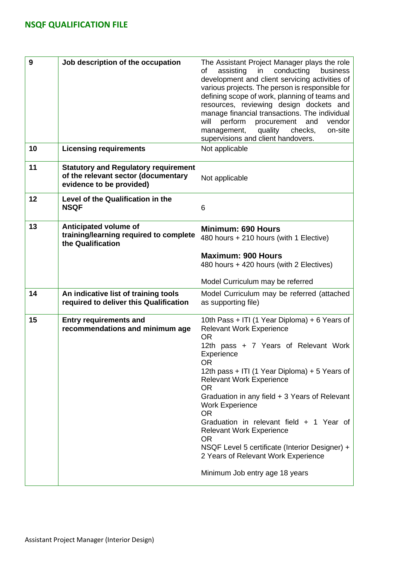| 9  | Job description of the occupation                                                                              | The Assistant Project Manager plays the role<br>assisting<br>conducting<br>in<br>business<br>οf<br>development and client servicing activities of<br>various projects. The person is responsible for<br>defining scope of work, planning of teams and<br>resources, reviewing design dockets and<br>manage financial transactions. The individual<br>will<br>perform<br>procurement<br>and<br>vendor<br>management,<br>quality<br>checks,<br>on-site<br>supervisions and client handovers. |  |  |  |
|----|----------------------------------------------------------------------------------------------------------------|--------------------------------------------------------------------------------------------------------------------------------------------------------------------------------------------------------------------------------------------------------------------------------------------------------------------------------------------------------------------------------------------------------------------------------------------------------------------------------------------|--|--|--|
| 10 | <b>Licensing requirements</b>                                                                                  | Not applicable                                                                                                                                                                                                                                                                                                                                                                                                                                                                             |  |  |  |
| 11 | <b>Statutory and Regulatory requirement</b><br>of the relevant sector (documentary<br>evidence to be provided) | Not applicable                                                                                                                                                                                                                                                                                                                                                                                                                                                                             |  |  |  |
| 12 | Level of the Qualification in the<br><b>NSQF</b>                                                               | 6                                                                                                                                                                                                                                                                                                                                                                                                                                                                                          |  |  |  |
| 13 | Anticipated volume of<br>training/learning required to complete<br>the Qualification                           | <b>Minimum: 690 Hours</b><br>480 hours + 210 hours (with 1 Elective)                                                                                                                                                                                                                                                                                                                                                                                                                       |  |  |  |
|    |                                                                                                                | <b>Maximum: 900 Hours</b><br>480 hours + 420 hours (with 2 Electives)                                                                                                                                                                                                                                                                                                                                                                                                                      |  |  |  |
|    |                                                                                                                | Model Curriculum may be referred                                                                                                                                                                                                                                                                                                                                                                                                                                                           |  |  |  |
| 14 | An indicative list of training tools<br>required to deliver this Qualification                                 | Model Curriculum may be referred (attached<br>as supporting file)                                                                                                                                                                                                                                                                                                                                                                                                                          |  |  |  |
| 15 | <b>Entry requirements and</b><br>recommendations and minimum age                                               | 10th Pass + ITI (1 Year Diploma) + 6 Years of<br><b>Relevant Work Experience</b><br><b>OR</b><br>12th pass + 7 Years of Relevant Work<br>Experience<br><b>OR</b>                                                                                                                                                                                                                                                                                                                           |  |  |  |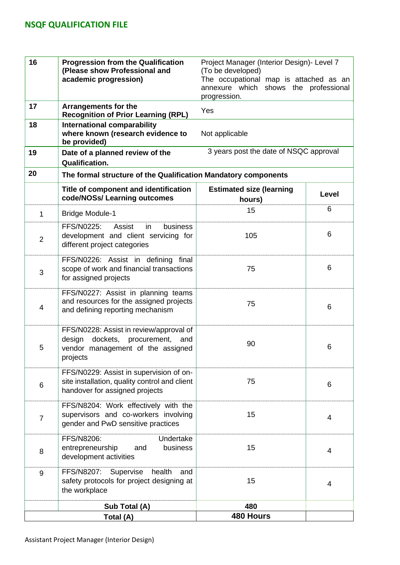| 16             | <b>Progression from the Qualification</b><br>(Please show Professional and<br>academic progression)                                | Project Manager (Interior Design) - Level 7<br>(To be developed)<br>The occupational map is attached as an<br>annexure which shows the professional<br>progression. |       |  |  |
|----------------|------------------------------------------------------------------------------------------------------------------------------------|---------------------------------------------------------------------------------------------------------------------------------------------------------------------|-------|--|--|
| 17             | <b>Arrangements for the</b><br><b>Recognition of Prior Learning (RPL)</b>                                                          | Yes                                                                                                                                                                 |       |  |  |
| 18             | <b>International comparability</b><br>where known (research evidence to<br>be provided)                                            | Not applicable                                                                                                                                                      |       |  |  |
| 19             | Date of a planned review of the<br><b>Qualification.</b>                                                                           | 3 years post the date of NSQC approval                                                                                                                              |       |  |  |
| 20             | The formal structure of the Qualification Mandatory components                                                                     |                                                                                                                                                                     |       |  |  |
|                | Title of component and identification<br>code/NOSs/ Learning outcomes                                                              | <b>Estimated size (learning</b><br>hours)                                                                                                                           | Level |  |  |
| $\mathbf{1}$   | <b>Bridge Module-1</b>                                                                                                             | 15                                                                                                                                                                  | 6     |  |  |
| $\overline{2}$ | FFS/N0225:<br>business<br>Assist<br>in<br>development and client servicing for<br>different project categories                     | 105                                                                                                                                                                 | 6     |  |  |
| 3              | FFS/N0226: Assist in defining final<br>scope of work and financial transactions<br>for assigned projects                           | 75                                                                                                                                                                  | 6     |  |  |
| 4              | FFS/N0227: Assist in planning teams<br>and resources for the assigned projects<br>and defining reporting mechanism                 | 75                                                                                                                                                                  | 6     |  |  |
| 5              | FFS/N0228: Assist in review/approval of<br>dockets, procurement,<br>design<br>and<br>vendor management of the assigned<br>projects | 90                                                                                                                                                                  | 6     |  |  |
| 6              | FFS/N0229: Assist in supervision of on-<br>site installation, quality control and client<br>handover for assigned projects         | 75                                                                                                                                                                  | 6     |  |  |
| $\overline{7}$ | FFS/N8204: Work effectively with the<br>supervisors and co-workers involving<br>gender and PwD sensitive practices                 | 15                                                                                                                                                                  | 4     |  |  |
| 8              | Undertake<br>FFS/N8206:<br>entrepreneurship<br>business<br>and<br>development activities                                           | 15                                                                                                                                                                  | 4     |  |  |
| 9              | FFS/N8207:<br>Supervise<br>health<br>and<br>safety protocols for project designing at<br>the workplace                             | 15                                                                                                                                                                  | 4     |  |  |
|                | Sub Total (A)                                                                                                                      | 480                                                                                                                                                                 |       |  |  |
|                | Total (A)                                                                                                                          | 480 Hours                                                                                                                                                           |       |  |  |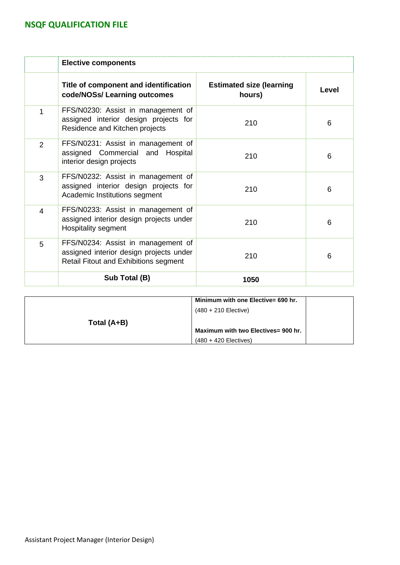|                | <b>Elective components</b>                                                                                             |                                           |       |
|----------------|------------------------------------------------------------------------------------------------------------------------|-------------------------------------------|-------|
|                | Title of component and identification<br>code/NOSs/ Learning outcomes                                                  | <b>Estimated size (learning</b><br>hours) | Level |
| 1              | FFS/N0230: Assist in management of<br>assigned interior design projects for<br>Residence and Kitchen projects          | 210                                       | 6     |
| $\overline{2}$ | FFS/N0231: Assist in management of<br>assigned Commercial and Hospital<br>interior design projects                     | 210                                       | 6     |
| 3              | FFS/N0232: Assist in management of<br>assigned interior design projects for<br>Academic Institutions segment           | 210                                       | 6     |
| 4              | FFS/N0233: Assist in management of<br>assigned interior design projects under<br>Hospitality segment                   | 210                                       | 6     |
| 5              | FFS/N0234: Assist in management of<br>assigned interior design projects under<br>Retail Fitout and Exhibitions segment | 210                                       | 6     |
|                | Sub Total (B)                                                                                                          | 1050                                      |       |

|             | Minimum with one Elective= 690 hr.  |
|-------------|-------------------------------------|
|             | $(480 + 210$ Elective)              |
| Total (A+B) |                                     |
|             | Maximum with two Electives= 900 hr. |
|             | $(480 + 420$ Electives)             |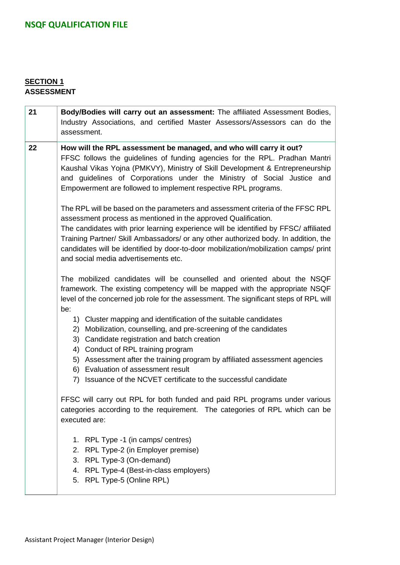## **SECTION 1 ASSESSMENT**

| 21 | Body/Bodies will carry out an assessment: The affiliated Assessment Bodies,<br>Industry Associations, and certified Master Assessors/Assessors can do the<br>assessment.                                                                                                                                                                                                                                                                                         |
|----|------------------------------------------------------------------------------------------------------------------------------------------------------------------------------------------------------------------------------------------------------------------------------------------------------------------------------------------------------------------------------------------------------------------------------------------------------------------|
| 22 | How will the RPL assessment be managed, and who will carry it out?<br>FFSC follows the guidelines of funding agencies for the RPL. Pradhan Mantri<br>Kaushal Vikas Yojna (PMKVY), Ministry of Skill Development & Entrepreneurship<br>and guidelines of Corporations under the Ministry of Social Justice and<br>Empowerment are followed to implement respective RPL programs.                                                                                  |
|    | The RPL will be based on the parameters and assessment criteria of the FFSC RPL<br>assessment process as mentioned in the approved Qualification.<br>The candidates with prior learning experience will be identified by FFSC/ affiliated<br>Training Partner/ Skill Ambassadors/ or any other authorized body. In addition, the<br>candidates will be identified by door-to-door mobilization/mobilization camps/ print<br>and social media advertisements etc. |
|    | The mobilized candidates will be counselled and oriented about the NSQF<br>framework. The existing competency will be mapped with the appropriate NSQF<br>level of the concerned job role for the assessment. The significant steps of RPL will                                                                                                                                                                                                                  |
|    | be:<br>1) Cluster mapping and identification of the suitable candidates<br>2) Mobilization, counselling, and pre-screening of the candidates<br>3) Candidate registration and batch creation<br>4) Conduct of RPL training program<br>Assessment after the training program by affiliated assessment agencies<br>5)<br>6) Evaluation of assessment result<br>7) Issuance of the NCVET certificate to the successful candidate                                    |
|    | FFSC will carry out RPL for both funded and paid RPL programs under various<br>categories according to the requirement. The categories of RPL which can be<br>executed are:                                                                                                                                                                                                                                                                                      |
|    | 1. RPL Type -1 (in camps/ centres)<br>2. RPL Type-2 (in Employer premise)<br>3. RPL Type-3 (On-demand)<br>4. RPL Type-4 (Best-in-class employers)<br>5. RPL Type-5 (Online RPL)                                                                                                                                                                                                                                                                                  |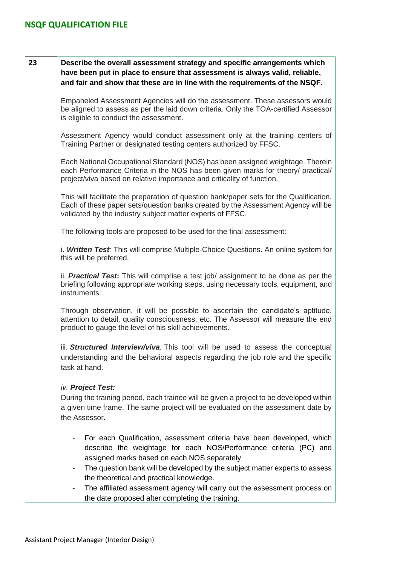| 23 | Describe the overall assessment strategy and specific arrangements which<br>have been put in place to ensure that assessment is always valid, reliable,<br>and fair and show that these are in line with the requirements of the NSQF.                                                                                                                                                             |
|----|----------------------------------------------------------------------------------------------------------------------------------------------------------------------------------------------------------------------------------------------------------------------------------------------------------------------------------------------------------------------------------------------------|
|    | Empaneled Assessment Agencies will do the assessment. These assessors would<br>be aligned to assess as per the laid down criteria. Only the TOA-certified Assessor<br>is eligible to conduct the assessment.                                                                                                                                                                                       |
|    | Assessment Agency would conduct assessment only at the training centers of<br>Training Partner or designated testing centers authorized by FFSC.                                                                                                                                                                                                                                                   |
|    | Each National Occupational Standard (NOS) has been assigned weightage. Therein<br>each Performance Criteria in the NOS has been given marks for theory/ practical/<br>project/viva based on relative importance and criticality of function.                                                                                                                                                       |
|    | This will facilitate the preparation of question bank/paper sets for the Qualification.<br>Each of these paper sets/question banks created by the Assessment Agency will be<br>validated by the industry subject matter experts of FFSC.                                                                                                                                                           |
|    | The following tools are proposed to be used for the final assessment:                                                                                                                                                                                                                                                                                                                              |
|    | i. Written Test: This will comprise Multiple-Choice Questions. An online system for<br>this will be preferred.                                                                                                                                                                                                                                                                                     |
|    | ii. <b>Practical Test:</b> This will comprise a test job/ assignment to be done as per the<br>briefing following appropriate working steps, using necessary tools, equipment, and<br>instruments.                                                                                                                                                                                                  |
|    | Through observation, it will be possible to ascertain the candidate's aptitude,<br>attention to detail, quality consciousness, etc. The Assessor will measure the end<br>product to gauge the level of his skill achievements.                                                                                                                                                                     |
|    | iii. Structured Interview/viva: This tool will be used to assess the conceptual<br>understanding and the behavioral aspects regarding the job role and the specific<br>task at hand.                                                                                                                                                                                                               |
|    | iv. Project Test:<br>During the training period, each trainee will be given a project to be developed within<br>a given time frame. The same project will be evaluated on the assessment date by<br>the Assessor.                                                                                                                                                                                  |
|    | For each Qualification, assessment criteria have been developed, which<br>describe the weightage for each NOS/Performance criteria (PC) and<br>assigned marks based on each NOS separately<br>The question bank will be developed by the subject matter experts to assess<br>the theoretical and practical knowledge.<br>The affiliated assessment agency will carry out the assessment process on |
|    | the date proposed after completing the training.                                                                                                                                                                                                                                                                                                                                                   |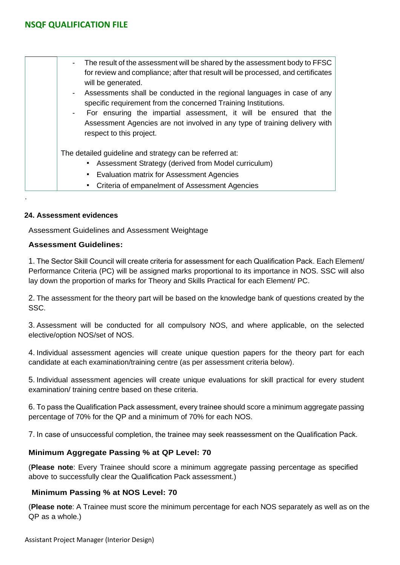| The result of the assessment will be shared by the assessment body to FFSC<br>$\sim$<br>for review and compliance; after that result will be processed, and certificates<br>will be generated. |
|------------------------------------------------------------------------------------------------------------------------------------------------------------------------------------------------|
| Assessments shall be conducted in the regional languages in case of any<br>$\overline{\phantom{a}}$<br>specific requirement from the concerned Training Institutions.                          |
| For ensuring the impartial assessment, it will be ensured that the<br>$\blacksquare$<br>Assessment Agencies are not involved in any type of training delivery with<br>respect to this project. |
| The detailed guideline and strategy can be referred at:                                                                                                                                        |
| Assessment Strategy (derived from Model curriculum)                                                                                                                                            |
| • Evaluation matrix for Assessment Agencies                                                                                                                                                    |
| Criteria of empanelment of Assessment Agencies                                                                                                                                                 |

### **24. Assessment evidences**

.

Assessment Guidelines and Assessment Weightage

### **Assessment Guidelines:**

1. The Sector Skill Council will create criteria for assessment for each Qualification Pack. Each Element/ Performance Criteria (PC) will be assigned marks proportional to its importance in NOS. SSC will also lay down the proportion of marks for Theory and Skills Practical for each Element/ PC.

2. The assessment for the theory part will be based on the knowledge bank of questions created by the SSC.

3. Assessment will be conducted for all compulsory NOS, and where applicable, on the selected elective/option NOS/set of NOS.

4. Individual assessment agencies will create unique question papers for the theory part for each candidate at each examination/training centre (as per assessment criteria below).

5. Individual assessment agencies will create unique evaluations for skill practical for every student examination/ training centre based on these criteria.

6. To pass the Qualification Pack assessment, every trainee should score a minimum aggregate passing percentage of 70% for the QP and a minimum of 70% for each NOS.

7. In case of unsuccessful completion, the trainee may seek reassessment on the Qualification Pack.

### **Minimum Aggregate Passing % at QP Level: 70**

(**Please note**: Every Trainee should score a minimum aggregate passing percentage as specified above to successfully clear the Qualification Pack assessment.)

### **Minimum Passing % at NOS Level: 70**

(**Please note**: A Trainee must score the minimum percentage for each NOS separately as well as on the QP as a whole.)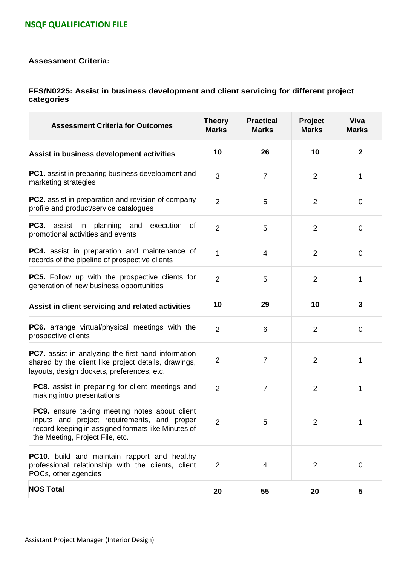#### **Assessment Criteria:**

#### **FFS/N0225: Assist in business development and client servicing for different project categories**

| <b>Assessment Criteria for Outcomes</b>                                                                                                                                               | <b>Theory</b><br><b>Marks</b> | <b>Practical</b><br><b>Marks</b> | Project<br><b>Marks</b> | <b>Viva</b><br><b>Marks</b> |
|---------------------------------------------------------------------------------------------------------------------------------------------------------------------------------------|-------------------------------|----------------------------------|-------------------------|-----------------------------|
| Assist in business development activities                                                                                                                                             | 10                            | 26                               | 10                      | $\mathbf{2}$                |
| <b>PC1.</b> assist in preparing business development and<br>marketing strategies                                                                                                      | 3                             | $\overline{7}$                   | 2                       | 1                           |
| <b>PC2.</b> assist in preparation and revision of company<br>profile and product/service catalogues                                                                                   | $\overline{2}$                | 5                                | $\overline{2}$          | 0                           |
| <b>PC3.</b> assist in planning and<br>execution<br>0f<br>promotional activities and events                                                                                            | $\overline{2}$                | 5                                | $\overline{2}$          | 0                           |
| <b>PC4.</b> assist in preparation and maintenance of<br>records of the pipeline of prospective clients                                                                                | 1                             | 4                                | 2                       | $\mathbf 0$                 |
| <b>PC5.</b> Follow up with the prospective clients for<br>generation of new business opportunities                                                                                    | $\overline{2}$                | 5                                | $\overline{2}$          | 1                           |
| Assist in client servicing and related activities                                                                                                                                     | 10                            | 29                               | 10                      | 3                           |
| <b>PC6.</b> arrange virtual/physical meetings with the<br>prospective clients                                                                                                         | $\overline{2}$                | 6                                | $\overline{2}$          | 0                           |
| <b>PC7.</b> assist in analyzing the first-hand information<br>shared by the client like project details, drawings,<br>layouts, design dockets, preferences, etc.                      | $\overline{2}$                | $\overline{7}$                   | $\overline{2}$          | 1                           |
| <b>PC8.</b> assist in preparing for client meetings and<br>making intro presentations                                                                                                 | $\overline{2}$                | $\overline{7}$                   | $\overline{2}$          | 1                           |
| PC9. ensure taking meeting notes about client<br>inputs and project requirements, and proper<br>record-keeping in assigned formats like Minutes of<br>the Meeting, Project File, etc. | $\overline{2}$                | 5                                | $\overline{2}$          | 1                           |
| <b>PC10.</b> build and maintain rapport and healthy<br>professional relationship with the clients, client<br>POCs, other agencies                                                     | $\overline{2}$                | 4                                | $\overline{2}$          | 0                           |
| <b>NOS Total</b>                                                                                                                                                                      | 20                            | 55                               | 20                      | 5                           |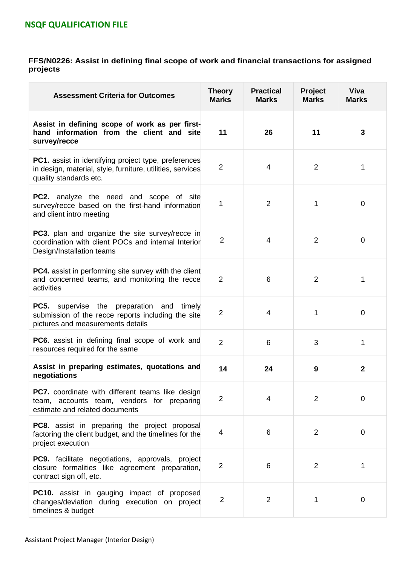#### **FFS/N0226: Assist in defining final scope of work and financial transactions for assigned projects**

| <b>Assessment Criteria for Outcomes</b>                                                                                                             | <b>Theory</b><br><b>Marks</b> | <b>Practical</b><br><b>Marks</b> | Project<br><b>Marks</b> | <b>Viva</b><br><b>Marks</b> |
|-----------------------------------------------------------------------------------------------------------------------------------------------------|-------------------------------|----------------------------------|-------------------------|-----------------------------|
| Assist in defining scope of work as per first-<br>hand information from the client and site<br>survey/recce                                         | 11                            | 26                               | 11                      | 3                           |
| <b>PC1.</b> assist in identifying project type, preferences<br>in design, material, style, furniture, utilities, services<br>quality standards etc. | $\overline{2}$                | 4                                | $\overline{2}$          | 1                           |
| <b>PC2.</b> analyze the need and scope of site<br>survey/recce based on the first-hand information<br>and client intro meeting                      |                               | $\overline{2}$                   | 1                       | 0                           |
| <b>PC3.</b> plan and organize the site survey/recce in<br>coordination with client POCs and internal Interior<br>Design/Installation teams          | $\overline{2}$                | 4                                | $\overline{2}$          | 0                           |
| <b>PC4.</b> assist in performing site survey with the client<br>and concerned teams, and monitoring the recce<br>activities                         | 2                             | 6                                | $\overline{2}$          | 1                           |
| <b>PC5.</b> supervise the preparation and<br>timely<br>submission of the recce reports including the site<br>pictures and measurements details      | $\overline{2}$                | 4                                | 1                       | $\overline{0}$              |
| <b>PC6.</b> assist in defining final scope of work and<br>resources required for the same                                                           | $\overline{2}$                | 6                                | 3                       | 1                           |
| Assist in preparing estimates, quotations and<br>negotiations                                                                                       | 14                            | 24                               | 9                       | $\mathbf{2}$                |
| <b>PC7.</b> coordinate with different teams like design<br>team, accounts team, vendors for preparing<br>estimate and related documents             | $\overline{2}$                | 4                                | $\overline{2}$          | $\overline{0}$              |
| <b>PC8.</b> assist in preparing the project proposal<br>factoring the client budget, and the timelines for the<br>project execution                 | 4                             | 6                                | $\overline{2}$          | $\overline{0}$              |
| <b>PC9.</b> facilitate negotiations, approvals, project<br>closure formalities like agreement preparation,<br>contract sign off, etc.               | $\overline{2}$                | 6                                | $\overline{2}$          | 1                           |
| <b>PC10.</b> assist in gauging impact of proposed<br>changes/deviation during execution on project<br>timelines & budget                            | $\overline{2}$                | $\overline{2}$                   | 1                       | 0                           |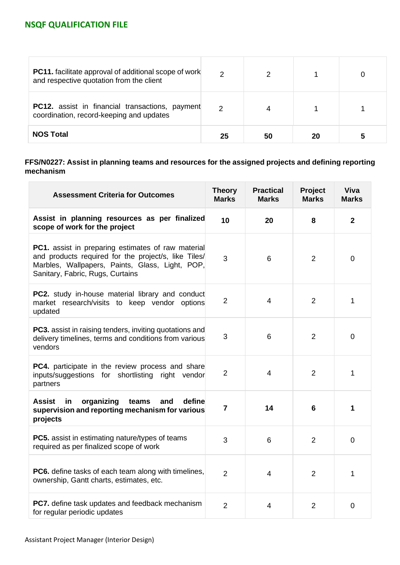| <b>PC11.</b> facilitate approval of additional scope of work<br>and respective quotation from the client | 2             |    |    |  |
|----------------------------------------------------------------------------------------------------------|---------------|----|----|--|
| <b>PC12.</b> assist in financial transactions, payment<br>coordination, record-keeping and updates       | $\mathcal{P}$ |    |    |  |
| <b>NOS Total</b>                                                                                         | 25            | 50 | 20 |  |

### **FFS/N0227: Assist in planning teams and resources for the assigned projects and defining reporting mechanism**

| <b>Assessment Criteria for Outcomes</b>                                                                                                                                                                  | <b>Theory</b><br><b>Marks</b> | <b>Practical</b><br><b>Marks</b> | Project<br><b>Marks</b> | <b>Viva</b><br><b>Marks</b> |
|----------------------------------------------------------------------------------------------------------------------------------------------------------------------------------------------------------|-------------------------------|----------------------------------|-------------------------|-----------------------------|
| Assist in planning resources as per finalized<br>scope of work for the project                                                                                                                           | 10                            | 20                               | 8                       | $\overline{2}$              |
| <b>PC1.</b> assist in preparing estimates of raw material<br>and products required for the project/s, like Tiles/<br>Marbles, Wallpapers, Paints, Glass, Light, POP,<br>Sanitary, Fabric, Rugs, Curtains | 3                             | 6                                | 2                       | $\overline{0}$              |
| <b>PC2.</b> study in-house material library and conduct<br>market research/visits to keep vendor options<br>updated                                                                                      | $\overline{2}$                | 4                                | $\overline{2}$          | 1                           |
| <b>PC3.</b> assist in raising tenders, inviting quotations and<br>delivery timelines, terms and conditions from various<br>vendors                                                                       | 3                             | 6                                | $\overline{2}$          | 0                           |
| PC4. participate in the review process and share<br>inputs/suggestions for shortlisting right vendor<br>partners                                                                                         | $\overline{2}$                | 4                                | $\overline{2}$          | 1                           |
| <b>Assist</b><br>organizing<br>define<br>in<br>teams<br>and<br>supervision and reporting mechanism for various<br>projects                                                                               | $\overline{7}$                | 14                               | 6                       | 1                           |
| <b>PC5.</b> assist in estimating nature/types of teams<br>required as per finalized scope of work                                                                                                        | 3                             | 6                                | $\overline{2}$          | $\mathbf 0$                 |
| <b>PC6.</b> define tasks of each team along with timelines,<br>ownership, Gantt charts, estimates, etc.                                                                                                  | $\overline{2}$                | $\overline{4}$                   | $\overline{2}$          | 1                           |
| PC7. define task updates and feedback mechanism<br>for regular periodic updates                                                                                                                          | $\overline{2}$                | 4                                | $\overline{2}$          | $\mathbf 0$                 |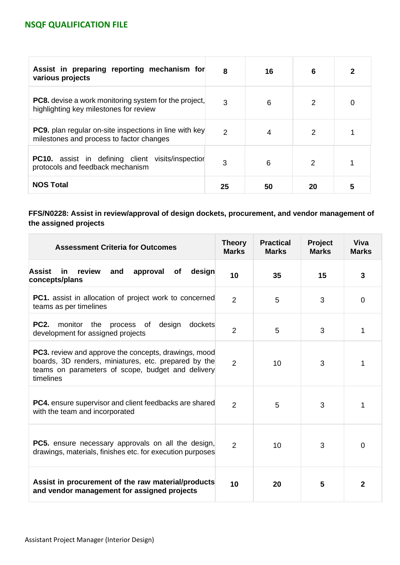| Assist in preparing reporting mechanism for<br>various projects                                           | 8  | 16 | 6  | 2 |
|-----------------------------------------------------------------------------------------------------------|----|----|----|---|
| <b>PC8.</b> devise a work monitoring system for the project,<br>highlighting key milestones for review    | 3  | 6  | 2  | 0 |
| <b>PC9.</b> plan regular on-site inspections in line with key<br>milestones and process to factor changes | 2  | 4  |    |   |
| <b>PC10.</b> assist in defining client visits/inspection<br>protocols and feedback mechanism              | 3  | 6  | 2  |   |
| <b>NOS Total</b>                                                                                          | 25 | 50 | 20 | 5 |

### **FFS/N0228: Assist in review/approval of design dockets, procurement, and vendor management of the assigned projects**

| <b>Assessment Criteria for Outcomes</b>                                                                                                                                               | <b>Theory</b><br><b>Marks</b> | <b>Practical</b><br><b>Marks</b> | Project<br><b>Marks</b> | Viva<br><b>Marks</b> |
|---------------------------------------------------------------------------------------------------------------------------------------------------------------------------------------|-------------------------------|----------------------------------|-------------------------|----------------------|
| <b>Assist</b><br>review<br>design<br>in<br>and<br>approval<br>of<br>concepts/plans                                                                                                    | 10                            | 35                               | 15                      | $\mathbf{3}$         |
| <b>PC1.</b> assist in allocation of project work to concerned<br>teams as per timelines                                                                                               | $\overline{2}$                | 5                                | 3                       | $\mathbf 0$          |
| <b>PC2.</b><br>monitor<br>the<br>process of<br>design<br>dockets<br>development for assigned projects                                                                                 | $\overline{2}$                | 5                                | 3                       | 1                    |
| <b>PC3.</b> review and approve the concepts, drawings, mood<br>boards, 3D renders, miniatures, etc. prepared by the<br>teams on parameters of scope, budget and delivery<br>timelines | $\overline{2}$                | 10                               | 3                       | 1                    |
| <b>PC4.</b> ensure supervisor and client feedbacks are shared<br>with the team and incorporated                                                                                       | $\overline{2}$                | 5                                | 3                       | 1                    |
| <b>PC5.</b> ensure necessary approvals on all the design,<br>drawings, materials, finishes etc. for execution purposes                                                                | 2                             | 10                               | 3                       | $\overline{0}$       |
| Assist in procurement of the raw material/products<br>and vendor management for assigned projects                                                                                     | 10                            | 20                               | 5                       | $\mathbf{2}$         |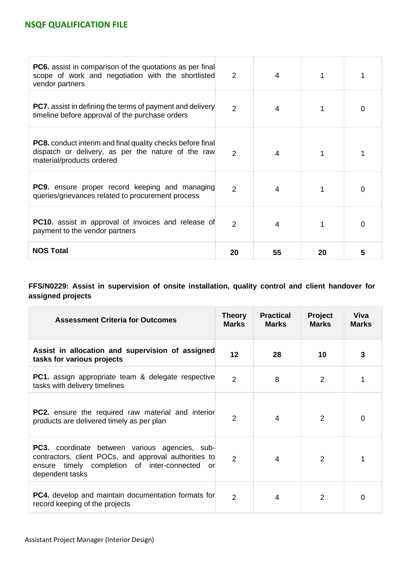| <b>PC6.</b> assist in comparison of the quotations as per final<br>scope of work and negotiation with the shortlisted<br>vendor partners             | 2              | 4  |    |   |
|------------------------------------------------------------------------------------------------------------------------------------------------------|----------------|----|----|---|
| <b>PC7.</b> assist in defining the terms of payment and delivery<br>timeline before approval of the purchase orders                                  | $\overline{2}$ | 4  |    | O |
| <b>PC8.</b> conduct interim and final quality checks before final<br>dispatch or delivery, as per the nature of the raw<br>material/products ordered | 2              | 4  |    |   |
| <b>PC9.</b> ensure proper record keeping and managing<br>queries/grievances related to procurement process                                           | $\mathcal{P}$  | 4  |    | O |
| <b>PC10.</b> assist in approval of invoices and release of<br>payment to the vendor partners                                                         | $\mathcal{P}$  | 4  |    | 0 |
| <b>NOS Total</b>                                                                                                                                     | 20             | 55 | 20 | 5 |

**FFS/N0229: Assist in supervision of onsite installation, quality control and client handover for assigned projects**

| <b>Assessment Criteria for Outcomes</b>                                                                                                                                             | <b>Theory</b><br><b>Marks</b> | <b>Practical</b><br><b>Marks</b> | Project<br><b>Marks</b> | <b>Viva</b><br><b>Marks</b> |
|-------------------------------------------------------------------------------------------------------------------------------------------------------------------------------------|-------------------------------|----------------------------------|-------------------------|-----------------------------|
| Assist in allocation and supervision of assigned<br>tasks for various projects                                                                                                      | 12                            | 28                               | 10                      | 3                           |
| <b>PC1.</b> assign appropriate team & delegate respective<br>tasks with delivery timelines                                                                                          | $\overline{2}$                | 8                                | $\overline{2}$          |                             |
| <b>PC2.</b> ensure the required raw material and interior<br>products are delivered timely as per plan                                                                              | $\overline{2}$                | 4                                | 2                       | $\Omega$                    |
| <b>PC3.</b> coordinate between various agencies, sub-<br>contractors, client POCs, and approval authorities to<br>ensure timely completion of inter-connected or<br>dependent tasks | $\overline{2}$                | $\overline{4}$                   | 2                       |                             |
| <b>PC4.</b> develop and maintain documentation formats for<br>record keeping of the projects                                                                                        | $\overline{2}$                | 4                                | 2                       | 0                           |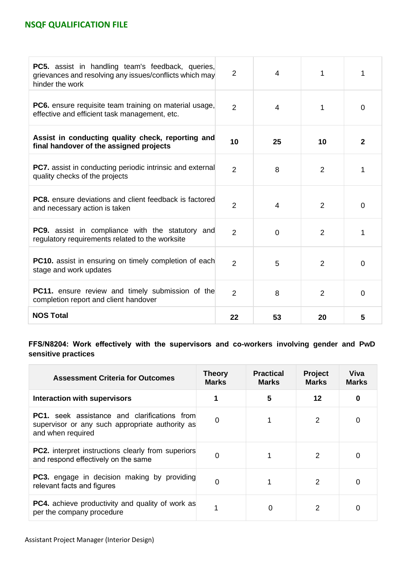| PC5. assist in handling team's feedback, queries,<br>grievances and resolving any issues/conflicts which may<br>hinder the work | 2              | 4              | 1              | 1            |
|---------------------------------------------------------------------------------------------------------------------------------|----------------|----------------|----------------|--------------|
| <b>PC6.</b> ensure requisite team training on material usage,<br>effective and efficient task management, etc.                  | $\overline{2}$ | $\overline{4}$ | 1              | $\mathbf 0$  |
| Assist in conducting quality check, reporting and<br>final handover of the assigned projects                                    | 10             | 25             | 10             | $\mathbf{2}$ |
| <b>PC7.</b> assist in conducting periodic intrinsic and external<br>quality checks of the projects                              | $\overline{2}$ | 8              | $\overline{2}$ | 1            |
| <b>PC8.</b> ensure deviations and client feedback is factored<br>and necessary action is taken                                  | $\overline{2}$ | 4              | $\overline{2}$ | 0            |
| <b>PC9.</b> assist in compliance with the statutory and<br>regulatory requirements related to the worksite                      | $\overline{2}$ | $\overline{0}$ | $\overline{2}$ | 1            |
| PC10. assist in ensuring on timely completion of each<br>stage and work updates                                                 | $\overline{2}$ | 5              | 2              | $\mathbf 0$  |
| <b>PC11.</b> ensure review and timely submission of the<br>completion report and client handover                                | $\overline{2}$ | 8              | $\overline{2}$ | $\Omega$     |
| <b>NOS Total</b>                                                                                                                | 22             | 53             | 20             | 5            |

**FFS/N8204: Work effectively with the supervisors and co-workers involving gender and PwD sensitive practices**

| <b>Assessment Criteria for Outcomes</b>                                                                                     | <b>Theory</b><br><b>Marks</b> | <b>Practical</b><br><b>Marks</b> | <b>Project</b><br><b>Marks</b> | Viva<br><b>Marks</b> |
|-----------------------------------------------------------------------------------------------------------------------------|-------------------------------|----------------------------------|--------------------------------|----------------------|
| <b>Interaction with supervisors</b>                                                                                         |                               | 5                                | 12                             | 0                    |
| <b>PC1.</b> seek assistance and clarifications from<br>supervisor or any such appropriate authority as<br>and when required | 0                             |                                  | 2                              |                      |
| <b>PC2.</b> interpret instructions clearly from superiors<br>and respond effectively on the same                            | 0                             |                                  | $\mathcal{P}$                  |                      |
| <b>PC3.</b> engage in decision making by providing<br>relevant facts and figures                                            | 0                             |                                  | $\mathcal{P}$                  |                      |
| <b>PC4.</b> achieve productivity and quality of work as<br>per the company procedure                                        |                               | ი                                |                                |                      |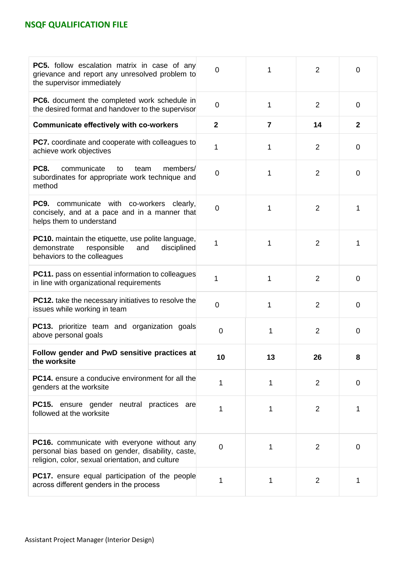| <b>PC5.</b> follow escalation matrix in case of any<br>grievance and report any unresolved problem to<br>the supervisor immediately                  | $\overline{0}$ | 1              | 2              | 0              |
|------------------------------------------------------------------------------------------------------------------------------------------------------|----------------|----------------|----------------|----------------|
| <b>PC6.</b> document the completed work schedule in<br>the desired format and handover to the supervisor                                             | $\overline{0}$ | 1              | 2              | $\overline{0}$ |
| <b>Communicate effectively with co-workers</b>                                                                                                       | $\overline{2}$ | $\overline{7}$ | 14             | $\overline{2}$ |
| <b>PC7.</b> coordinate and cooperate with colleagues to<br>achieve work objectives                                                                   | 1              | 1              | 2              | $\mathbf 0$    |
| <b>PC8.</b><br>communicate<br>to<br>team<br>members/<br>subordinates for appropriate work technique and<br>method                                    | $\mathbf 0$    | 1              | $\overline{2}$ | $\mathbf 0$    |
| <b>PC9.</b> communicate with co-workers clearly,<br>concisely, and at a pace and in a manner that<br>helps them to understand                        | 0              | 1              | 2              | 1              |
| <b>PC10.</b> maintain the etiquette, use polite language,<br>demonstrate<br>responsible<br>and<br>disciplined<br>behaviors to the colleagues         | 1              | 1              | 2              | 1              |
| PC11. pass on essential information to colleagues<br>in line with organizational requirements                                                        |                | 1              | 2              | $\overline{0}$ |
| <b>PC12.</b> take the necessary initiatives to resolve the<br>issues while working in team                                                           | $\mathbf 0$    | $\mathbf{1}$   | 2              | 0              |
| PC13. prioritize team and organization goals<br>above personal goals                                                                                 | $\overline{0}$ | 1              | 2              | $\overline{0}$ |
| Follow gender and PwD sensitive practices at<br>the worksite                                                                                         | 10             | 13             | 26             | 8              |
| <b>PC14.</b> ensure a conducive environment for all the<br>genders at the worksite                                                                   |                | 1              | 2              | $\mathbf 0$    |
| <b>PC15.</b> ensure gender neutral practices are<br>followed at the worksite                                                                         | 1              | 1              | 2              | 1              |
| PC16. communicate with everyone without any<br>personal bias based on gender, disability, caste,<br>religion, color, sexual orientation, and culture | $\overline{0}$ | 1              | 2              | $\mathbf 0$    |
| <b>PC17.</b> ensure equal participation of the people<br>across different genders in the process                                                     |                | 1              | $\overline{2}$ | 1              |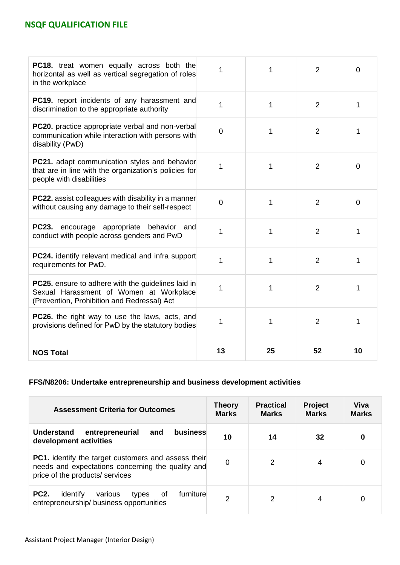| PC18. treat women equally across both the<br>horizontal as well as vertical segregation of roles<br>in the workplace                         | 1              | 1  | 2              | $\overline{0}$ |
|----------------------------------------------------------------------------------------------------------------------------------------------|----------------|----|----------------|----------------|
| PC19. report incidents of any harassment and<br>discrimination to the appropriate authority                                                  | 1              | 1  | $\overline{2}$ | 1              |
| <b>PC20.</b> practice appropriate verbal and non-verbal<br>communication while interaction with persons with<br>disability (PwD)             | $\overline{0}$ | 1  | $\overline{2}$ | 1              |
| PC21. adapt communication styles and behavior<br>that are in line with the organization's policies for<br>people with disabilities           | 1              | 1  | $\overline{2}$ | $\overline{0}$ |
| <b>PC22.</b> assist colleagues with disability in a manner<br>without causing any damage to their self-respect                               | 0              | 1  | $\overline{2}$ | $\overline{0}$ |
| <b>PC23.</b> encourage appropriate behavior and<br>conduct with people across genders and PwD                                                | 1              | 1  | $\overline{2}$ | 1              |
| <b>PC24.</b> identify relevant medical and infra support<br>requirements for PwD.                                                            | 1              | 1  | $\overline{2}$ | 1              |
| PC25. ensure to adhere with the guidelines laid in<br>Sexual Harassment of Women at Workplace<br>(Prevention, Prohibition and Redressal) Act | 1              | 1  | 2              | 1              |
| <b>PC26.</b> the right way to use the laws, acts, and<br>provisions defined for PwD by the statutory bodies                                  | 1              | 1  | $\overline{2}$ | 1              |
| <b>NOS Total</b>                                                                                                                             | 13             | 25 | 52             | 10             |

### **FFS/N8206: Undertake entrepreneurship and business development activities**

| <b>Assessment Criteria for Outcomes</b>                                                                                                            | <b>Theory</b><br><b>Marks</b> | <b>Practical</b><br><b>Marks</b> | <b>Project</b><br><b>Marks</b> | Viva<br><b>Marks</b> |
|----------------------------------------------------------------------------------------------------------------------------------------------------|-------------------------------|----------------------------------|--------------------------------|----------------------|
| business<br><b>Understand</b><br>entrepreneurial<br>and<br>development activities                                                                  | 10                            | 14                               | 32                             | 0                    |
| <b>PC1.</b> identify the target customers and assess their<br>needs and expectations concerning the quality and<br>price of the products/ services | 0                             | 2                                | 4                              | 0                    |
| <b>PC2.</b><br>furniture<br>identify<br>various<br>of<br>types<br>entrepreneurship/ business opportunities                                         | 2                             | 2                                | 4                              | 0                    |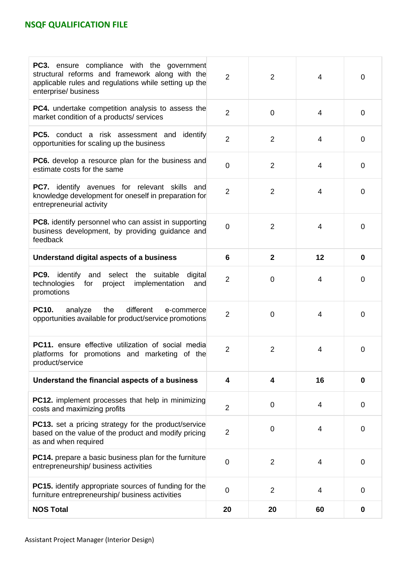| <b>PC3.</b> ensure compliance with the government<br>structural reforms and framework along with the<br>applicable rules and regulations while setting up the<br>enterprise/ business | $\overline{2}$ | $\overline{2}$ | $\overline{4}$          | $\overline{0}$ |
|---------------------------------------------------------------------------------------------------------------------------------------------------------------------------------------|----------------|----------------|-------------------------|----------------|
| <b>PC4.</b> undertake competition analysis to assess the<br>market condition of a products/ services                                                                                  | $\overline{2}$ | $\overline{0}$ | $\overline{4}$          | $\overline{0}$ |
| <b>PC5.</b> conduct a risk assessment and identify<br>opportunities for scaling up the business                                                                                       | $\overline{2}$ | $\overline{2}$ | $\overline{4}$          | 0              |
| <b>PC6.</b> develop a resource plan for the business and<br>estimate costs for the same                                                                                               | $\overline{0}$ | $\overline{2}$ | $\overline{\mathbf{4}}$ | $\overline{0}$ |
| PC7. identify avenues for relevant skills<br>and<br>knowledge development for oneself in preparation for<br>entrepreneurial activity                                                  | $\overline{2}$ | $\overline{2}$ | 4                       | 0              |
| <b>PC8.</b> identify personnel who can assist in supporting<br>business development, by providing guidance and<br>feedback                                                            | $\Omega$       | $\overline{2}$ | $\overline{4}$          | 0              |
| Understand digital aspects of a business                                                                                                                                              | 6              | $\overline{2}$ | 12                      | $\bf{0}$       |
| <b>PC9.</b> identify and<br>select the<br>suitable<br>digital<br>technologies<br>for<br>project<br>implementation<br>and<br>promotions                                                | $\overline{2}$ | $\overline{0}$ | 4                       | 0              |
| <b>PC10.</b><br>different<br>analyze<br>the<br>e-commerce<br>opportunities available for product/service promotions                                                                   | $\overline{2}$ | $\mathbf 0$    | 4                       | 0              |
| <b>PC11.</b> ensure effective utilization of social media<br>platforms for promotions and marketing of the<br>product/service                                                         | $\overline{2}$ | $\overline{2}$ | 4                       | 0              |
| Understand the financial aspects of a business                                                                                                                                        | 4              | 4              | 16                      | $\bf{0}$       |
| <b>PC12.</b> implement processes that help in minimizing<br>costs and maximizing profits                                                                                              | $\overline{2}$ | $\mathbf 0$    | 4                       | 0              |
| <b>PC13.</b> set a pricing strategy for the product/service<br>based on the value of the product and modify pricing<br>as and when required                                           | $\overline{2}$ | $\mathbf 0$    | 4                       | 0              |
| <b>PC14.</b> prepare a basic business plan for the furniture<br>entrepreneurship/ business activities                                                                                 | 0              | $\overline{2}$ | $\overline{4}$          | 0              |
| <b>PC15.</b> identify appropriate sources of funding for the<br>furniture entrepreneurship/ business activities                                                                       | 0              | $\overline{2}$ | 4                       | 0              |
| <b>NOS Total</b>                                                                                                                                                                      | 20             | 20             | 60                      | 0              |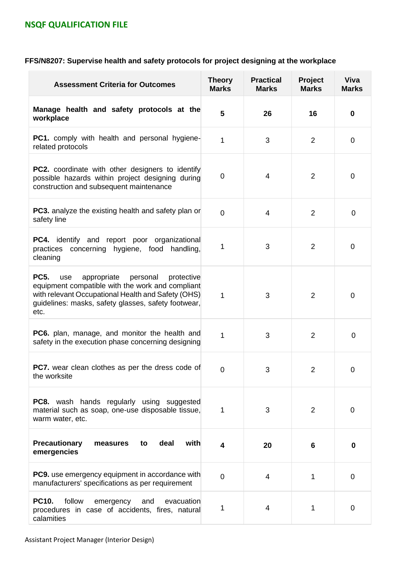# **FFS/N8207: Supervise health and safety protocols for project designing at the workplace**

| <b>Assessment Criteria for Outcomes</b>                                                                                                                                                                                              | <b>Theory</b><br><b>Marks</b> | <b>Practical</b><br><b>Marks</b> | Project<br><b>Marks</b> | <b>Viva</b><br><b>Marks</b> |
|--------------------------------------------------------------------------------------------------------------------------------------------------------------------------------------------------------------------------------------|-------------------------------|----------------------------------|-------------------------|-----------------------------|
| Manage health and safety protocols at the<br>workplace                                                                                                                                                                               | 5                             | 26                               | 16                      | $\bf{0}$                    |
| PC1. comply with health and personal hygiene-<br>related protocols                                                                                                                                                                   | $\mathbf 1$                   | 3                                | $\overline{2}$          | 0                           |
| <b>PC2.</b> coordinate with other designers to identify<br>possible hazards within project designing during<br>construction and subsequent maintenance                                                                               | 0                             | 4                                | 2                       | 0                           |
| <b>PC3.</b> analyze the existing health and safety plan or<br>safety line                                                                                                                                                            | $\overline{0}$                | $\overline{4}$                   | $\overline{2}$          | 0                           |
| <b>PC4.</b> identify and report poor organizational<br>practices concerning hygiene, food<br>handling,<br>cleaning                                                                                                                   | 1                             | 3                                | $\overline{2}$          | 0                           |
| <b>PC5.</b><br>appropriate<br>personal<br>use<br>protective<br>equipment compatible with the work and compliant<br>with relevant Occupational Health and Safety (OHS)<br>guidelines: masks, safety glasses, safety footwear,<br>etc. | 1                             | 3                                | $\overline{2}$          | 0                           |
| <b>PC6.</b> plan, manage, and monitor the health and<br>safety in the execution phase concerning designing                                                                                                                           | 1                             | 3                                | $\overline{2}$          | 0                           |
| PC7. wear clean clothes as per the dress code of<br>the worksite                                                                                                                                                                     | 0                             | 3                                | 2                       | 0                           |
| <b>PC8.</b> wash hands regularly using suggested<br>material such as soap, one-use disposable tissue,<br>warm water, etc.                                                                                                            | 1                             | 3                                | 2                       | 0                           |
| <b>Precautionary</b><br>deal<br>with<br>measures<br>to<br>emergencies                                                                                                                                                                | 4                             | 20                               | 6                       | 0                           |
| <b>PC9.</b> use emergency equipment in accordance with<br>manufacturers' specifications as per requirement                                                                                                                           | $\overline{0}$                | 4                                | 1                       | 0                           |
| <b>PC10.</b><br>follow<br>emergency<br>and<br>evacuation<br>procedures in case of accidents, fires, natural<br>calamities                                                                                                            | 1                             | 4                                | 1                       | 0                           |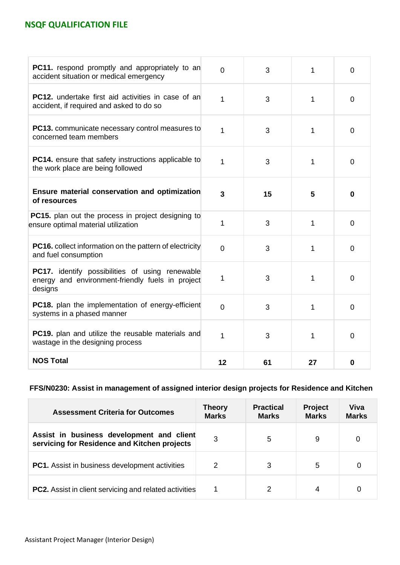| <b>PC11.</b> respond promptly and appropriately to an<br>accident situation or medical emergency                      | $\Omega$       | 3  | 1  | $\Omega$       |
|-----------------------------------------------------------------------------------------------------------------------|----------------|----|----|----------------|
| <b>PC12.</b> undertake first aid activities in case of an<br>accident, if required and asked to do so                 | 1              | 3  | 1  | $\overline{0}$ |
| <b>PC13.</b> communicate necessary control measures to<br>concerned team members                                      | 1              | 3  | 1  | $\overline{0}$ |
| PC14. ensure that safety instructions applicable to<br>the work place are being followed                              | 1              | 3  | 1  | $\Omega$       |
| Ensure material conservation and optimization<br>of resources                                                         | 3              | 15 | 5  | $\bf{0}$       |
| <b>PC15.</b> plan out the process in project designing to<br>ensure optimal material utilization                      | 1              | 3  | 1  | $\overline{0}$ |
| <b>PC16.</b> collect information on the pattern of electricity<br>and fuel consumption                                | $\overline{0}$ | 3  | 1  | $\overline{0}$ |
| <b>PC17.</b> identify possibilities of using renewable<br>energy and environment-friendly fuels in project<br>designs | 1              | 3  | 1  | $\Omega$       |
| <b>PC18.</b> plan the implementation of energy-efficient<br>systems in a phased manner                                | $\overline{0}$ | 3  | 1  | $\overline{0}$ |
| <b>PC19.</b> plan and utilize the reusable materials and<br>wastage in the designing process                          | $\overline{1}$ | 3  | 1  | $\overline{0}$ |
| <b>NOS Total</b>                                                                                                      | 12             | 61 | 27 | 0              |

**FFS/N0230: Assist in management of assigned interior design projects for Residence and Kitchen**

| <b>Assessment Criteria for Outcomes</b>                                                   | <b>Theory</b><br><b>Marks</b> | <b>Practical</b><br><b>Marks</b> | <b>Project</b><br><b>Marks</b> | Viva<br><b>Marks</b> |
|-------------------------------------------------------------------------------------------|-------------------------------|----------------------------------|--------------------------------|----------------------|
| Assist in business development and client<br>servicing for Residence and Kitchen projects | 3                             | 5                                | 9                              | 0                    |
| <b>PC1.</b> Assist in business development activities                                     | 2                             | 3                                | 5                              | 0                    |
| <b>PC2.</b> Assist in client servicing and related activities                             |                               | 2                                | 4                              |                      |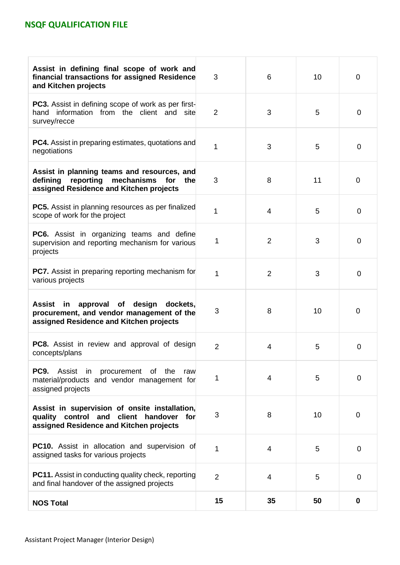| Assist in defining final scope of work and<br>financial transactions for assigned Residence<br>and Kitchen projects                          | 3              | 6              | 10 | $\overline{0}$ |
|----------------------------------------------------------------------------------------------------------------------------------------------|----------------|----------------|----|----------------|
| PC3. Assist in defining scope of work as per first-<br>hand information from the client and site<br>survey/recce                             | $\overline{2}$ | 3              | 5  | $\mathbf 0$    |
| PC4. Assist in preparing estimates, quotations and<br>negotiations                                                                           | 1              | 3              | 5  | 0              |
| Assist in planning teams and resources, and<br>reporting mechanisms for<br>defining<br>the<br>assigned Residence and Kitchen projects        | 3              | 8              | 11 | 0              |
| <b>PC5.</b> Assist in planning resources as per finalized<br>scope of work for the project                                                   | 1              | $\overline{4}$ | 5  | 0              |
| <b>PC6.</b> Assist in organizing teams and define<br>supervision and reporting mechanism for various<br>projects                             | 1              | $\overline{2}$ | 3  | 0              |
| <b>PC7.</b> Assist in preparing reporting mechanism for<br>various projects                                                                  | 1              | $\overline{2}$ | 3  | 0              |
| Assist<br>approval of<br>design<br>in<br>dockets,<br>procurement, and vendor management of the<br>assigned Residence and Kitchen projects    | 3              | 8              | 10 | 0              |
| <b>PC8.</b> Assist in review and approval of design<br>concepts/plans                                                                        | $\overline{2}$ | 4              | 5  | 0              |
| <b>PC9.</b> Assist in procurement of the<br>raw<br>material/products and vendor management for<br>assigned projects                          | 1              | $\overline{4}$ | 5  | $\mathbf 0$    |
| Assist in supervision of onsite installation,<br>quality control and<br>client<br>handover<br>for<br>assigned Residence and Kitchen projects | 3              | 8              | 10 | $\overline{0}$ |
| <b>PC10.</b> Assist in allocation and supervision of<br>assigned tasks for various projects                                                  | 1              | 4              | 5  | 0              |
| <b>PC11.</b> Assist in conducting quality check, reporting<br>and final handover of the assigned projects                                    | $\overline{2}$ | 4              | 5  | 0              |
| <b>NOS Total</b>                                                                                                                             | 15             | 35             | 50 | 0              |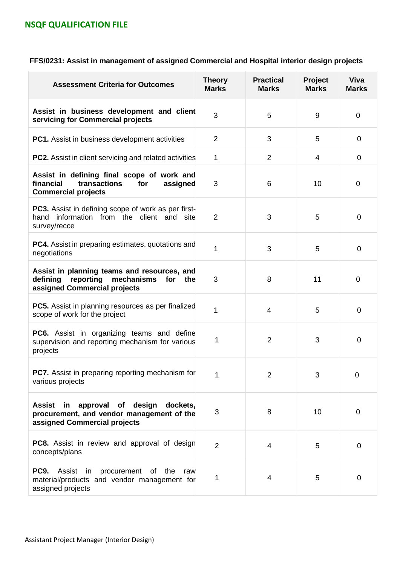| FFS/0231: Assist in management of assigned Commercial and Hospital interior design projects |  |  |  |
|---------------------------------------------------------------------------------------------|--|--|--|
|---------------------------------------------------------------------------------------------|--|--|--|

| <b>Assessment Criteria for Outcomes</b>                                                                                               | <b>Theory</b><br><b>Marks</b> | <b>Practical</b><br><b>Marks</b> | Project<br><b>Marks</b> | <b>Viva</b><br><b>Marks</b> |
|---------------------------------------------------------------------------------------------------------------------------------------|-------------------------------|----------------------------------|-------------------------|-----------------------------|
| Assist in business development and client<br>servicing for Commercial projects                                                        | 3                             | 5                                | 9                       | $\overline{0}$              |
| <b>PC1.</b> Assist in business development activities                                                                                 | $\overline{2}$                | 3                                | 5                       | 0                           |
| <b>PC2.</b> Assist in client servicing and related activities                                                                         | 1                             | 2                                | 4                       | 0                           |
| Assist in defining final scope of work and<br>financial<br>transactions<br>for<br>assigned<br><b>Commercial projects</b>              | 3                             | 6                                | 10                      | 0                           |
| PC3. Assist in defining scope of work as per first-<br>hand information from the client and<br>site<br>survey/recce                   | $\overline{2}$                | 3                                | 5                       | 0                           |
| <b>PC4.</b> Assist in preparing estimates, quotations and<br>negotiations                                                             | 1                             | 3                                | 5                       | 0                           |
| Assist in planning teams and resources, and<br>reporting<br>defining<br>mechanisms<br>for<br>the<br>assigned Commercial projects      | 3                             | 8                                | 11                      | $\overline{0}$              |
| <b>PC5.</b> Assist in planning resources as per finalized<br>scope of work for the project                                            | 1                             | $\overline{4}$                   | 5                       | 0                           |
| <b>PC6.</b> Assist in organizing teams and define<br>supervision and reporting mechanism for various<br>projects                      | 1                             | $\overline{2}$                   | 3                       | 0                           |
| PC7. Assist in preparing reporting mechanism for<br>various projects                                                                  | 1                             | $\overline{2}$                   | 3                       | $\mathbf 0$                 |
| of design<br>approval<br>dockets,<br><b>Assist</b><br>in<br>procurement, and vendor management of the<br>assigned Commercial projects | $\sqrt{3}$                    | 8                                | 10                      | $\mathbf 0$                 |
| <b>PC8.</b> Assist in review and approval of design<br>concepts/plans                                                                 | $\overline{2}$                | 4                                | 5                       | $\mathbf 0$                 |
| PC9.<br>Assist in<br>procurement of the<br>raw<br>material/products and vendor management for<br>assigned projects                    | 1                             | 4                                | 5                       | $\mathbf 0$                 |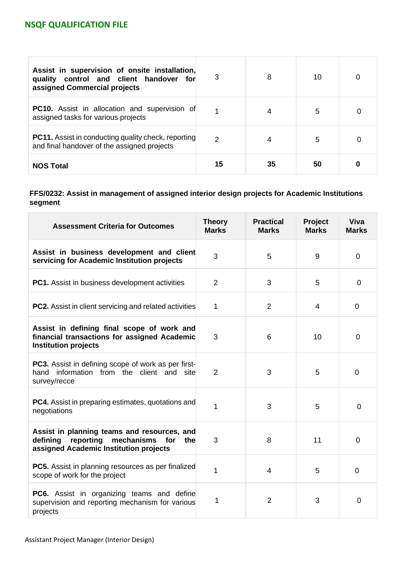| Assist in supervision of onsite installation,<br>quality control and client handover for<br>assigned Commercial projects | 3             | 8  | 10 | O |
|--------------------------------------------------------------------------------------------------------------------------|---------------|----|----|---|
| <b>PC10.</b> Assist in allocation and supervision of<br>assigned tasks for various projects                              |               | 4  | 5  | 0 |
| <b>PC11.</b> Assist in conducting quality check, reporting<br>and final handover of the assigned projects                | $\mathcal{P}$ | 4  | 5  | 0 |
| <b>NOS Total</b>                                                                                                         | 15            | 35 | 50 |   |

### **FFS/0232: Assist in management of assigned interior design projects for Academic Institutions segment**

| <b>Assessment Criteria for Outcomes</b>                                                                                                    | <b>Theory</b><br><b>Marks</b> | <b>Practical</b><br><b>Marks</b> | Project<br><b>Marks</b> | <b>Viva</b><br><b>Marks</b> |
|--------------------------------------------------------------------------------------------------------------------------------------------|-------------------------------|----------------------------------|-------------------------|-----------------------------|
| Assist in business development and client<br>servicing for Academic Institution projects                                                   | 3                             | 5                                | 9                       | 0                           |
| <b>PC1.</b> Assist in business development activities                                                                                      | $\overline{2}$                | 3                                | 5                       | $\Omega$                    |
| <b>PC2.</b> Assist in client servicing and related activities                                                                              | 1                             | $\overline{2}$                   | 4                       | 0                           |
| Assist in defining final scope of work and<br>financial transactions for assigned Academic<br><b>Institution projects</b>                  | 3                             | 6                                | 10                      | $\overline{0}$              |
| PC3. Assist in defining scope of work as per first-<br>hand information from the client and<br>site<br>survey/recce                        | 2                             | 3                                | 5                       | $\overline{0}$              |
| <b>PC4.</b> Assist in preparing estimates, quotations and<br>negotiations                                                                  | 1                             | 3                                | 5                       | $\Omega$                    |
| Assist in planning teams and resources, and<br>defining<br>reporting<br>mechanisms<br>for<br>the<br>assigned Academic Institution projects | 3                             | 8                                | 11                      | $\overline{0}$              |
| PC5. Assist in planning resources as per finalized<br>scope of work for the project                                                        | 1                             | $\overline{4}$                   | 5                       | $\overline{0}$              |
| PC6. Assist in organizing teams and define<br>supervision and reporting mechanism for various<br>projects                                  | 1                             | $\overline{2}$                   | 3                       | $\Omega$                    |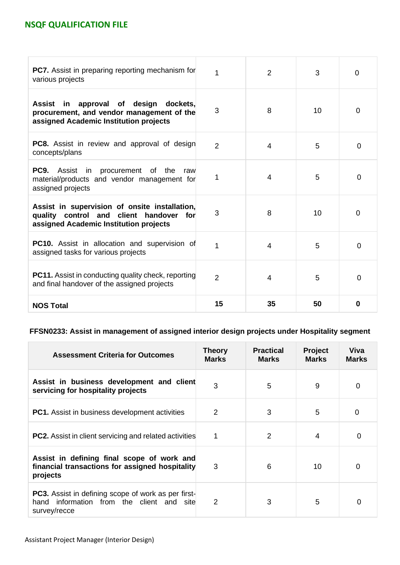| PC7. Assist in preparing reporting mechanism for<br>various projects                                                                           | 1              | 2              | 3  | 0        |
|------------------------------------------------------------------------------------------------------------------------------------------------|----------------|----------------|----|----------|
| approval of design<br>Assist<br>in<br>dockets,<br>procurement, and vendor management of the<br>assigned Academic Institution projects          | 3              | 8              | 10 | 0        |
| <b>PC8.</b> Assist in review and approval of design<br>concepts/plans                                                                          | $\overline{2}$ | $\overline{4}$ | 5  | $\Omega$ |
| PC9.<br>Assist in<br>procurement of<br>the<br>raw<br>material/products and vendor management for<br>assigned projects                          | 1              | 4              | 5  | $\Omega$ |
| Assist in supervision of onsite installation,<br>quality control and client handover<br>for <b>f</b><br>assigned Academic Institution projects | 3              | 8              | 10 | 0        |
| <b>PC10.</b> Assist in allocation and supervision of<br>assigned tasks for various projects                                                    | 1              | 4              | 5  | $\Omega$ |
| <b>PC11.</b> Assist in conducting quality check, reporting<br>and final handover of the assigned projects                                      | $\overline{2}$ | 4              | 5  | $\Omega$ |
| <b>NOS Total</b>                                                                                                                               | 15             | 35             | 50 | 0        |

### **FFSN0233: Assist in management of assigned interior design projects under Hospitality segment**

| <b>Assessment Criteria for Outcomes</b>                                                                                       | Theory<br><b>Marks</b> | <b>Practical</b><br><b>Marks</b> | <b>Project</b><br><b>Marks</b> | Viva<br><b>Marks</b> |
|-------------------------------------------------------------------------------------------------------------------------------|------------------------|----------------------------------|--------------------------------|----------------------|
| Assist in business development and client<br>servicing for hospitality projects                                               | 3                      | 5                                | 9                              | 0                    |
| <b>PC1.</b> Assist in business development activities                                                                         | $\overline{2}$         | 3                                | 5                              | 0                    |
| <b>PC2.</b> Assist in client servicing and related activities                                                                 | 1                      | $\overline{2}$                   | 4                              | $\Omega$             |
| Assist in defining final scope of work and<br>financial transactions for assigned hospitality<br>projects                     | 3                      | 6                                | 10                             | $\Omega$             |
| <b>PC3.</b> Assist in defining scope of work as per first-<br>information from the client and<br>hand<br>site<br>survey/recce | 2                      | 3                                | 5                              | $\Omega$             |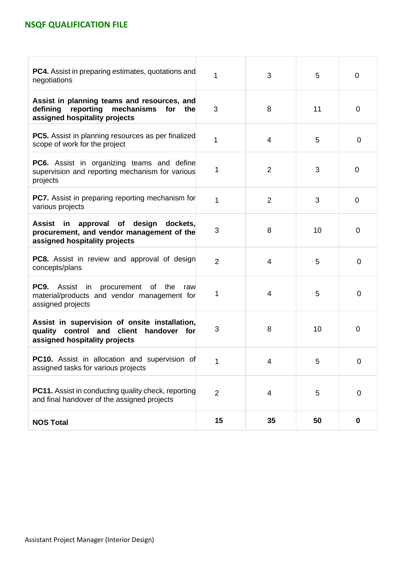| <b>PC4.</b> Assist in preparing estimates, quotations and<br>negotiations                                                              | 1              | 3              | 5  | 0              |
|----------------------------------------------------------------------------------------------------------------------------------------|----------------|----------------|----|----------------|
| Assist in planning teams and resources, and<br>reporting<br>mechanisms for the<br>defining<br>assigned hospitality projects            | 3              | 8              | 11 | $\overline{0}$ |
| <b>PC5.</b> Assist in planning resources as per finalized<br>scope of work for the project                                             | 1              | $\overline{4}$ | 5  | 0              |
| <b>PC6.</b> Assist in organizing teams and define<br>supervision and reporting mechanism for various<br>projects                       | 1              | 2              | 3  | $\overline{0}$ |
| <b>PC7.</b> Assist in preparing reporting mechanism for<br>various projects                                                            | 1              | 2              | 3  | 0              |
| <b>Assist</b><br>in<br>approval of<br>design<br>dockets,<br>procurement, and vendor management of the<br>assigned hospitality projects | 3              | 8              | 10 | $\mathbf 0$    |
| <b>PC8.</b> Assist in review and approval of design<br>concepts/plans                                                                  | $\overline{2}$ | $\overline{4}$ | 5  | $\mathbf 0$    |
| <b>PC9.</b> Assist in procurement of the<br>raw<br>material/products and vendor management for<br>assigned projects                    | 1              | $\overline{4}$ | 5  | 0              |
| Assist in supervision of onsite installation,<br>quality control and client<br>handover for<br>assigned hospitality projects           | 3              | 8              | 10 | $\overline{0}$ |
| PC10. Assist in allocation and supervision of<br>assigned tasks for various projects                                                   | 1              | 4              | 5  | 0              |
| <b>PC11.</b> Assist in conducting quality check, reporting<br>and final handover of the assigned projects                              | $\overline{2}$ | 4              | 5  | 0              |
| <b>NOS Total</b>                                                                                                                       | 15             | 35             | 50 | $\bf{0}$       |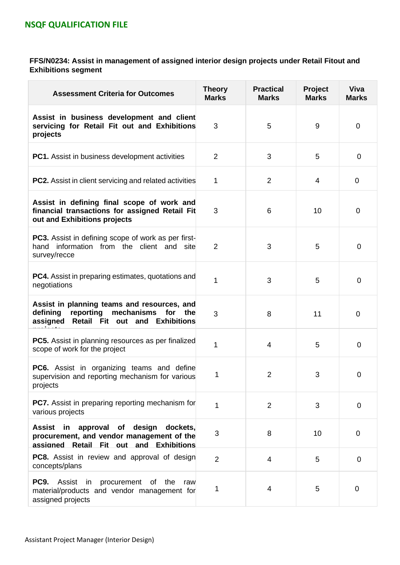**FFS/N0234: Assist in management of assigned interior design projects under Retail Fitout and Exhibitions segment**

| <b>Assessment Criteria for Outcomes</b>                                                                                                   | <b>Theory</b><br><b>Marks</b> | <b>Practical</b><br><b>Marks</b> | Project<br><b>Marks</b> | <b>Viva</b><br><b>Marks</b> |
|-------------------------------------------------------------------------------------------------------------------------------------------|-------------------------------|----------------------------------|-------------------------|-----------------------------|
| Assist in business development and client<br>servicing for Retail Fit out and Exhibitions<br>projects                                     | 3                             | 5                                | 9                       | 0                           |
| <b>PC1.</b> Assist in business development activities                                                                                     | $\overline{2}$                | 3                                | 5                       | $\overline{0}$              |
| <b>PC2.</b> Assist in client servicing and related activities                                                                             | $\overline{2}$<br>1<br>3<br>6 |                                  | 4                       | 0                           |
| Assist in defining final scope of work and<br>financial transactions for assigned Retail Fit<br>out and Exhibitions projects              |                               |                                  | 10                      | $\mathbf 0$                 |
| <b>PC3.</b> Assist in defining scope of work as per first-<br>information from the client and site<br>hand<br>survey/recce                | $\overline{2}$                | 3                                | 5                       | 0                           |
| <b>PC4.</b> Assist in preparing estimates, quotations and<br>negotiations                                                                 | 1                             | 3                                | 5                       | $\mathbf 0$                 |
| Assist in planning teams and resources, and<br>defining<br>reporting<br>mechanisms for the<br>assigned<br>Retail Fit out and Exhibitions  | 3                             | 8                                | 11                      | $\mathbf 0$                 |
| <b>PC5.</b> Assist in planning resources as per finalized<br>scope of work for the project                                                | 1                             | $\overline{4}$                   | 5                       | $\mathbf 0$                 |
| PC6. Assist in organizing teams and define<br>supervision and reporting mechanism for various<br>projects                                 | 1                             | $\overline{2}$                   | 3                       | 0                           |
| <b>PC7.</b> Assist in preparing reporting mechanism for<br>various projects                                                               | 1                             | $\overline{2}$                   | 3                       | $\mathbf 0$                 |
| Assist<br>approval of<br>design<br>dockets,<br>in<br>procurement, and vendor management of the<br>assigned Retail Fit out and Exhibitions | 3                             | 8                                | 10                      | $\mathbf 0$                 |
| <b>PC8.</b> Assist in review and approval of design<br>concepts/plans                                                                     | $\overline{2}$                | $\overline{4}$                   | 5                       | $\overline{0}$              |
| <b>PC9.</b><br>Assist in procurement of the<br>raw<br>material/products and vendor management for<br>assigned projects                    | 1                             | 4                                | 5                       | 0                           |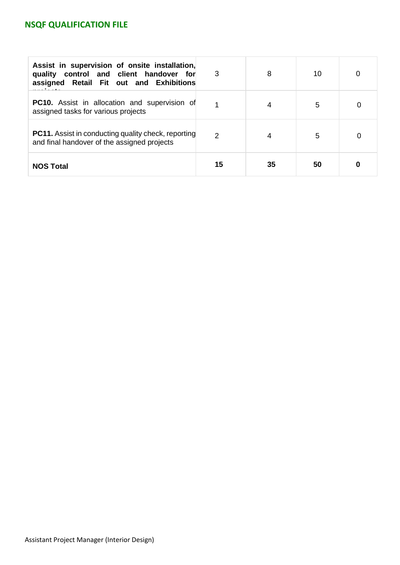| Assist in supervision of onsite installation,<br>quality control and client handover for<br>assigned Retail Fit out and Exhibitions | 3             | 8  | 10 | 0 |
|-------------------------------------------------------------------------------------------------------------------------------------|---------------|----|----|---|
| <b>PC10.</b> Assist in allocation and supervision of<br>assigned tasks for various projects                                         |               | 4  | 5  | 0 |
| <b>PC11.</b> Assist in conducting quality check, reporting<br>and final handover of the assigned projects                           | $\mathcal{P}$ |    | 5  | 0 |
| <b>NOS Total</b>                                                                                                                    | 15            | 35 | 50 |   |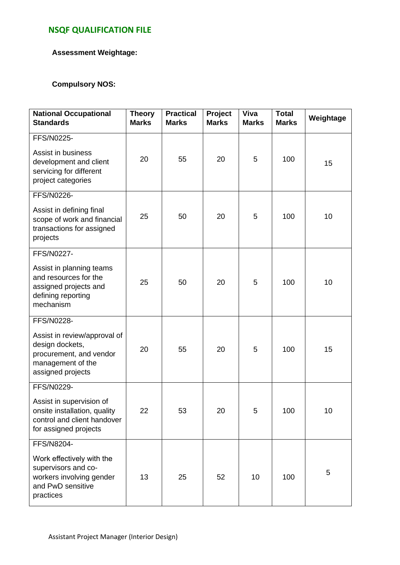### **Assessment Weightage:**

### **Compulsory NOS:**

| <b>National Occupational</b><br><b>Standards</b>                                                                                   | <b>Theory</b><br><b>Marks</b> | <b>Practical</b><br><b>Marks</b> | Project<br><b>Marks</b> | Viva<br><b>Marks</b> | <b>Total</b><br><b>Marks</b> | Weightage |
|------------------------------------------------------------------------------------------------------------------------------------|-------------------------------|----------------------------------|-------------------------|----------------------|------------------------------|-----------|
| FFS/N0225-<br>Assist in business<br>development and client<br>servicing for different<br>project categories                        | 20                            | 55                               | 20                      | 5                    | 100                          | 15        |
| FFS/N0226-<br>Assist in defining final<br>scope of work and financial<br>transactions for assigned<br>projects                     | 25                            | 50                               | 20                      | 5                    | 100                          | 10        |
| FFS/N0227-<br>Assist in planning teams<br>and resources for the<br>assigned projects and<br>defining reporting<br>mechanism        | 25                            | 50                               | 20                      | 5                    | 100                          | 10        |
| FFS/N0228-<br>Assist in review/approval of<br>design dockets,<br>procurement, and vendor<br>management of the<br>assigned projects | 20                            | 55                               | 20                      | 5                    | 100                          | 15        |
| FFS/N0229-<br>Assist in supervision of<br>onsite installation, quality<br>control and client handover<br>for assigned projects     | 22                            | 53                               | 20                      | 5                    | 100                          | 10        |
| FFS/N8204-<br>Work effectively with the<br>supervisors and co-<br>workers involving gender<br>and PwD sensitive<br>practices       | 13                            | 25                               | 52                      | 10                   | 100                          | 5         |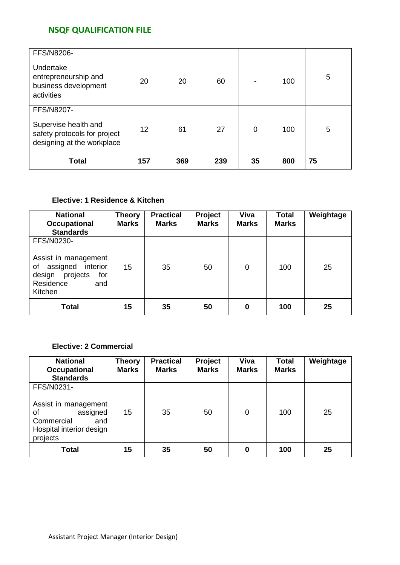| FFS/N8206-                                                                         |     |     |     |    |     |    |
|------------------------------------------------------------------------------------|-----|-----|-----|----|-----|----|
| Undertake<br>entrepreneurship and<br>business development<br>activities            | 20  | 20  | 60  | -  | 100 | 5  |
| <b>FFS/N8207-</b>                                                                  |     |     |     |    |     |    |
| Supervise health and<br>safety protocols for project<br>designing at the workplace | 12  | 61  | 27  | 0  | 100 | 5  |
| <b>Total</b>                                                                       | 157 | 369 | 239 | 35 | 800 | 75 |

## **Elective: 1 Residence & Kitchen**

| <b>National</b><br>Occupational<br><b>Standards</b>                                                                       | <b>Theory</b><br><b>Marks</b> | <b>Practical</b><br><b>Marks</b> | Project<br><b>Marks</b> | Viva<br><b>Marks</b> | <b>Total</b><br><b>Marks</b> | Weightage |
|---------------------------------------------------------------------------------------------------------------------------|-------------------------------|----------------------------------|-------------------------|----------------------|------------------------------|-----------|
| FFS/N0230-<br>Assist in management<br>assigned interior<br>οf<br>projects<br>design<br>for<br>Residence<br>and<br>Kitchen | 15                            | 35                               | 50                      | 0                    | 100                          | 25        |
| <b>Total</b>                                                                                                              | 15                            | 35                               | 50                      | 0                    | 100                          | 25        |

### **Elective: 2 Commercial**

| <b>National</b><br>Occupational<br><b>Standards</b>                                                               | <b>Theory</b><br><b>Marks</b> | <b>Practical</b><br><b>Marks</b> | Project<br><b>Marks</b> | Viva<br><b>Marks</b> | <b>Total</b><br><b>Marks</b> | Weightage |
|-------------------------------------------------------------------------------------------------------------------|-------------------------------|----------------------------------|-------------------------|----------------------|------------------------------|-----------|
| FFS/N0231-<br>Assist in management<br>assigned<br>οf<br>Commercial<br>and<br>Hospital interior design<br>projects | 15                            | 35                               | 50                      | 0                    | 100                          | 25        |
| <b>Total</b>                                                                                                      | 15                            | 35                               | 50                      | 0                    | 100                          | 25        |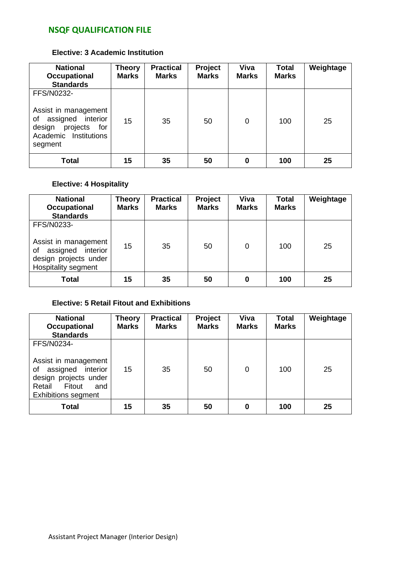#### **Elective: 3 Academic Institution**

| <b>National</b><br><b>Occupational</b><br><b>Standards</b>                                                                     | Theory<br><b>Marks</b> | <b>Practical</b><br><b>Marks</b> | Project<br><b>Marks</b> | Viva<br><b>Marks</b> | <b>Total</b><br><b>Marks</b> | Weightage |
|--------------------------------------------------------------------------------------------------------------------------------|------------------------|----------------------------------|-------------------------|----------------------|------------------------------|-----------|
| FFS/N0232-<br>Assist in management<br>assigned interior<br>of<br>projects<br>design<br>for<br>Academic Institutions<br>segment | 15                     | 35                               | 50                      | 0                    | 100                          | 25        |
| Total                                                                                                                          | 15                     | 35                               | 50                      | 0                    | 100                          | 25        |

### **Elective: 4 Hospitality**

| <b>National</b><br>Occupational<br><b>Standards</b>                                                           | <b>Theory</b><br><b>Marks</b> | <b>Practical</b><br><b>Marks</b> | Project<br><b>Marks</b> | Viva<br><b>Marks</b> | <b>Total</b><br><b>Marks</b> | Weightage |
|---------------------------------------------------------------------------------------------------------------|-------------------------------|----------------------------------|-------------------------|----------------------|------------------------------|-----------|
| FFS/N0233-<br>Assist in management<br>assigned interior<br>οf<br>design projects under<br>Hospitality segment | 15                            | 35                               | 50                      | 0                    | 100                          | 25        |
| Total                                                                                                         | 15                            | 35                               | 50                      | 0                    | 100                          | 25        |

### **Elective: 5 Retail Fitout and Exhibitions**

| <b>National</b><br>Occupational<br><b>Standards</b>                                                                                             | <b>Theory</b><br><b>Marks</b> | <b>Practical</b><br><b>Marks</b> | <b>Project</b><br><b>Marks</b> | Viva<br><b>Marks</b> | <b>Total</b><br><b>Marks</b> | Weightage |
|-------------------------------------------------------------------------------------------------------------------------------------------------|-------------------------------|----------------------------------|--------------------------------|----------------------|------------------------------|-----------|
| FFS/N0234-<br>Assist in management<br>assigned interior<br>οf<br>design projects under<br>Retail<br>Fitout<br>and<br><b>Exhibitions segment</b> | 15                            | 35                               | 50                             | 0                    | 100                          | 25        |
| Total                                                                                                                                           | 15                            | 35                               | 50                             | 0                    | 100                          | 25        |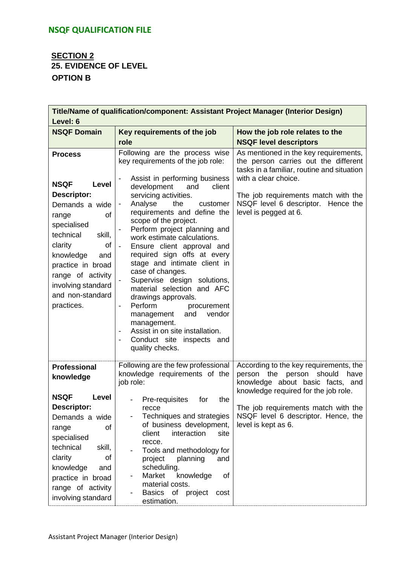# **SECTION 2 25. EVIDENCE OF LEVEL OPTION B**

| Level: 6                                                                                                                                                                                                                                                                   | Title/Name of qualification/component: Assistant Project Manager (Interior Design)                                                                                                                                                                                                                                                                                                                                                                                                                                                                                                                                                                                                                   |                                                                                                                                                                                                                                                           |  |  |  |  |  |
|----------------------------------------------------------------------------------------------------------------------------------------------------------------------------------------------------------------------------------------------------------------------------|------------------------------------------------------------------------------------------------------------------------------------------------------------------------------------------------------------------------------------------------------------------------------------------------------------------------------------------------------------------------------------------------------------------------------------------------------------------------------------------------------------------------------------------------------------------------------------------------------------------------------------------------------------------------------------------------------|-----------------------------------------------------------------------------------------------------------------------------------------------------------------------------------------------------------------------------------------------------------|--|--|--|--|--|
| <b>NSQF Domain</b>                                                                                                                                                                                                                                                         | Key requirements of the job                                                                                                                                                                                                                                                                                                                                                                                                                                                                                                                                                                                                                                                                          | How the job role relates to the                                                                                                                                                                                                                           |  |  |  |  |  |
|                                                                                                                                                                                                                                                                            | role                                                                                                                                                                                                                                                                                                                                                                                                                                                                                                                                                                                                                                                                                                 | <b>NSQF level descriptors</b>                                                                                                                                                                                                                             |  |  |  |  |  |
| <b>Process</b><br><b>NSQF</b><br>Level<br><b>Descriptor:</b><br>Demands a wide<br>0f<br>range<br>specialised<br>technical<br>skill,<br>clarity<br>of<br>knowledge<br>and<br>practice in broad<br>range of activity<br>involving standard<br>and non-standard<br>practices. | Following are the process wise<br>key requirements of the job role:<br>Assist in performing business<br>development<br>and<br>client<br>servicing activities.<br>the<br>Analyse<br>customer<br>requirements and define the<br>scope of the project.<br>Perform project planning and<br>work estimate calculations.<br>Ensure client approval and<br>required sign offs at every<br>stage and intimate client in<br>case of changes.<br>Supervise design solutions,<br>material selection and AFC<br>drawings approvals.<br>Perform<br>procurement<br>$\blacksquare$<br>vendor<br>management<br>and<br>management.<br>Assist in on site installation.<br>Conduct site inspects and<br>quality checks. | As mentioned in the key requirements,<br>the person carries out the different<br>tasks in a familiar, routine and situation<br>with a clear choice.<br>The job requirements match with the<br>NSQF level 6 descriptor. Hence the<br>level is pegged at 6. |  |  |  |  |  |
| <b>Professional</b><br>knowledge                                                                                                                                                                                                                                           | Following are the few professional<br>knowledge requirements of the<br>job role:                                                                                                                                                                                                                                                                                                                                                                                                                                                                                                                                                                                                                     | According to the key requirements, the<br>person<br>the<br>person should<br>have<br>knowledge about basic facts, and<br>knowledge required for the job role.                                                                                              |  |  |  |  |  |
| <b>NSQF</b><br>Level<br>Descriptor:<br>Demands a wide<br>of<br>range<br>specialised<br>technical<br>skill,<br>clarity<br>0f<br>knowledge<br>and<br>practice in broad<br>range of activity<br>involving standard                                                            | Pre-requisites<br>for<br>the<br>recce<br>Techniques and strategies<br>of business development,<br>interaction<br>client<br>site<br>recce.<br>Tools and methodology for<br>project<br>planning<br>and<br>scheduling.<br>Market<br>knowledge<br>of<br>material costs.<br>Basics of<br>project<br>cost<br>estimation.                                                                                                                                                                                                                                                                                                                                                                                   | The job requirements match with the<br>NSQF level 6 descriptor. Hence, the<br>level is kept as 6.                                                                                                                                                         |  |  |  |  |  |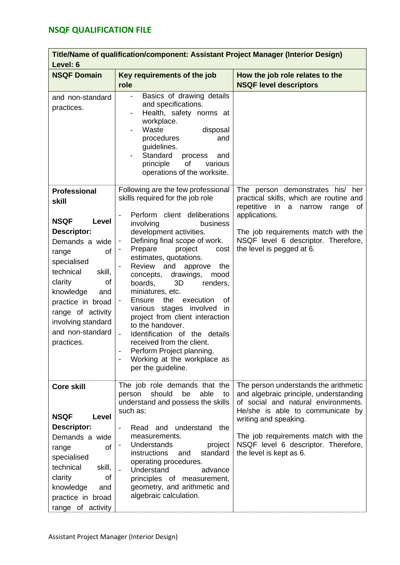| Level: 6                                                                                                                                                                                                                                                                          | Title/Name of qualification/component: Assistant Project Manager (Interior Design)                                                                                                                                                                                                                                                                                                                                                                                                                                                                                                                                                                           |                                                                                                                                                                                                                                                                                              |
|-----------------------------------------------------------------------------------------------------------------------------------------------------------------------------------------------------------------------------------------------------------------------------------|--------------------------------------------------------------------------------------------------------------------------------------------------------------------------------------------------------------------------------------------------------------------------------------------------------------------------------------------------------------------------------------------------------------------------------------------------------------------------------------------------------------------------------------------------------------------------------------------------------------------------------------------------------------|----------------------------------------------------------------------------------------------------------------------------------------------------------------------------------------------------------------------------------------------------------------------------------------------|
| <b>NSQF Domain</b>                                                                                                                                                                                                                                                                | Key requirements of the job<br>role                                                                                                                                                                                                                                                                                                                                                                                                                                                                                                                                                                                                                          | How the job role relates to the<br><b>NSQF level descriptors</b>                                                                                                                                                                                                                             |
| and non-standard<br>practices.                                                                                                                                                                                                                                                    | Basics of drawing details<br>and specifications.<br>Health, safety norms at<br>workplace.<br>Waste<br>disposal<br>procedures<br>and<br>guidelines.<br>Standard<br>process<br>and<br>of<br>various<br>principle<br>operations of the worksite.                                                                                                                                                                                                                                                                                                                                                                                                                |                                                                                                                                                                                                                                                                                              |
| <b>Professional</b><br>skill<br><b>NSQF</b><br>Level<br>Descriptor:<br>Demands a wide<br>οf<br>range<br>specialised<br>technical<br>skill,<br>clarity<br>of<br>knowledge<br>and<br>practice in broad<br>range of activity<br>involving standard<br>and non-standard<br>practices. | Following are the few professional<br>skills required for the job role<br>Perform client deliberations<br>involving<br>business<br>development activities.<br>Defining final scope of work.<br>Prepare<br>project<br>cost<br>estimates, quotations.<br><b>Review</b><br>and<br>approve<br>the<br>drawings,<br>concepts,<br>mood<br>boards,<br>3D<br>renders,<br>miniatures, etc.<br>the<br>Ensure<br>execution<br>0f<br>various stages involved<br>in<br>project from client interaction<br>to the handover.<br>Identification of the details<br>received from the client.<br>Perform Project planning.<br>Working at the workplace as<br>per the guideline. | The person demonstrates his/ her<br>practical skills, which are routine and<br>repetitive in a narrow<br>range<br>of<br>applications.<br>The job requirements match with the<br>NSQF level 6 descriptor. Therefore,<br>the level is pegged at 6.                                             |
| <b>Core skill</b><br><b>NSQF</b><br>Level<br>Descriptor:<br>Demands a wide<br>of<br>range<br>specialised<br>technical<br>skill,<br>clarity<br>οf<br>knowledge<br>and<br>practice in broad<br>range of activity                                                                    | The job role demands that the<br>should<br>able<br>be<br>person<br>to<br>understand and possess the skills<br>such as:<br>understand the<br>Read and<br>measurements.<br>Understands<br>project<br>instructions<br>standard<br>and<br>operating procedures.<br>Understand<br>advance<br>principles of measurement,<br>geometry, and arithmetic and<br>algebraic calculation.                                                                                                                                                                                                                                                                                 | The person understands the arithmetic<br>and algebraic principle, understanding<br>of social and natural environments.<br>He/she is able to communicate by<br>writing and speaking.<br>The job requirements match with the<br>NSQF level 6 descriptor. Therefore,<br>the level is kept as 6. |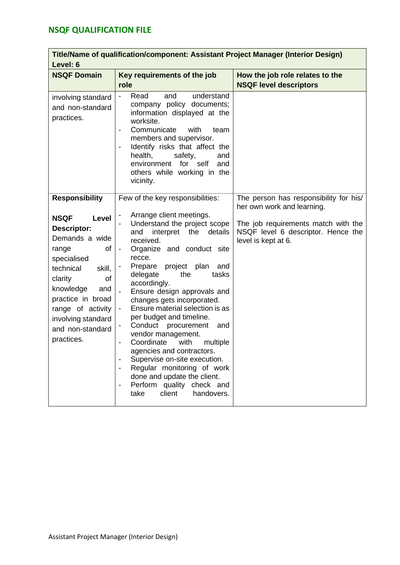| Level: 6                                                                                                                                                                                                                                          | Title/Name of qualification/component: Assistant Project Manager (Interior Design)                                                                                                                                                                                                                                                                                                                                                                                                                                                                                                                                                  |                                                                                                  |  |  |  |  |
|---------------------------------------------------------------------------------------------------------------------------------------------------------------------------------------------------------------------------------------------------|-------------------------------------------------------------------------------------------------------------------------------------------------------------------------------------------------------------------------------------------------------------------------------------------------------------------------------------------------------------------------------------------------------------------------------------------------------------------------------------------------------------------------------------------------------------------------------------------------------------------------------------|--------------------------------------------------------------------------------------------------|--|--|--|--|
| <b>NSQF Domain</b>                                                                                                                                                                                                                                | Key requirements of the job                                                                                                                                                                                                                                                                                                                                                                                                                                                                                                                                                                                                         | How the job role relates to the                                                                  |  |  |  |  |
|                                                                                                                                                                                                                                                   | role                                                                                                                                                                                                                                                                                                                                                                                                                                                                                                                                                                                                                                | <b>NSQF level descriptors</b>                                                                    |  |  |  |  |
| involving standard<br>and non-standard<br>practices.                                                                                                                                                                                              | Read<br>and<br>understand<br>company policy documents;<br>information displayed at the<br>worksite.<br>Communicate<br>with<br>team<br>$\blacksquare$<br>members and supervisor.<br>Identify risks that affect the<br>$\qquad \qquad \blacksquare$<br>health,<br>safety,<br>and<br>environment for self<br>and<br>others while working in the<br>vicinity.                                                                                                                                                                                                                                                                           |                                                                                                  |  |  |  |  |
| <b>Responsibility</b>                                                                                                                                                                                                                             | Few of the key responsibilities:                                                                                                                                                                                                                                                                                                                                                                                                                                                                                                                                                                                                    | The person has responsibility for his/<br>her own work and learning.                             |  |  |  |  |
| <b>NSQF</b><br>Level<br>Descriptor:<br>Demands a wide<br>range<br>0f<br>specialised<br>technical<br>skill,<br>clarity<br>of<br>knowledge<br>and<br>practice in broad<br>range of activity<br>involving standard<br>and non-standard<br>practices. | Arrange client meetings.<br>Understand the project scope<br>interpret the<br>and<br>details<br>received.<br>Organize and conduct site<br>recce.<br>Prepare project plan<br>and<br>delegate<br>the<br>tasks<br>accordingly.<br>Ensure design approvals and<br>changes gets incorporated.<br>Ensure material selection is as<br>per budget and timeline.<br>Conduct procurement<br>and<br>vendor management.<br>Coordinate<br>with<br>multiple<br>agencies and contractors.<br>Supervise on-site execution.<br>Regular monitoring of work<br>done and update the client.<br>Perform quality check and<br>client<br>handovers.<br>take | The job requirements match with the<br>NSQF level 6 descriptor. Hence the<br>level is kept at 6. |  |  |  |  |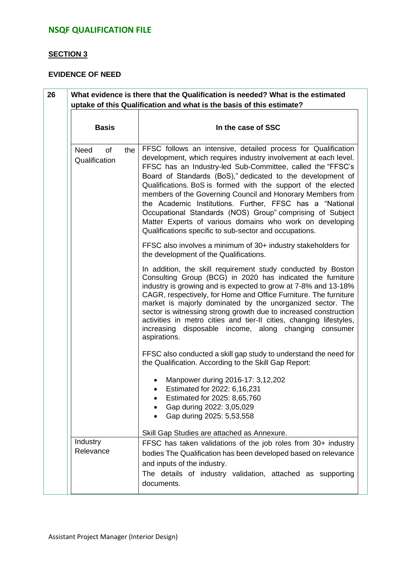### **SECTION 3**

### **EVIDENCE OF NEED**

| <b>Basis</b>                 |    |     | In the case of SSC                                                                                                                                                                                                                                                                                                                                                                                                                                                                                                                                                                                                                         |  |  |  |
|------------------------------|----|-----|--------------------------------------------------------------------------------------------------------------------------------------------------------------------------------------------------------------------------------------------------------------------------------------------------------------------------------------------------------------------------------------------------------------------------------------------------------------------------------------------------------------------------------------------------------------------------------------------------------------------------------------------|--|--|--|
| <b>Need</b><br>Qualification | of | the | FFSC follows an intensive, detailed process for Qualification<br>development, which requires industry involvement at each level.<br>FFSC has an Industry-led Sub-Committee, called the "FFSC's<br>Board of Standards (BoS)," dedicated to the development of<br>Qualifications. BoS is formed with the support of the elected<br>members of the Governing Council and Honorary Members from<br>the Academic Institutions. Further, FFSC has a "National<br>Occupational Standards (NOS) Group" comprising of Subject<br>Matter Experts of various domains who work on developing<br>Qualifications specific to sub-sector and occupations. |  |  |  |
|                              |    |     | FFSC also involves a minimum of 30+ industry stakeholders for<br>the development of the Qualifications.                                                                                                                                                                                                                                                                                                                                                                                                                                                                                                                                    |  |  |  |
|                              |    |     | In addition, the skill requirement study conducted by Boston<br>Consulting Group (BCG) in 2020 has indicated the furniture<br>industry is growing and is expected to grow at 7-8% and 13-18%<br>CAGR, respectively, for Home and Office Furniture. The furniture<br>market is majorly dominated by the unorganized sector. The<br>sector is witnessing strong growth due to increased construction<br>activities in metro cities and tier-II cities, changing lifestyles,<br>increasing disposable income, along changing consumer<br>aspirations.                                                                                         |  |  |  |
|                              |    |     | FFSC also conducted a skill gap study to understand the need for<br>the Qualification. According to the Skill Gap Report:                                                                                                                                                                                                                                                                                                                                                                                                                                                                                                                  |  |  |  |
|                              |    |     | Manpower during 2016-17: 3,12,202<br>Estimated for 2022: 6,16,231<br>Estimated for 2025: 8,65,760<br>Gap during 2022: 3,05,029<br>Gap during 2025: 5,53,558                                                                                                                                                                                                                                                                                                                                                                                                                                                                                |  |  |  |
|                              |    |     | Skill Gap Studies are attached as Annexure.                                                                                                                                                                                                                                                                                                                                                                                                                                                                                                                                                                                                |  |  |  |
| Industry<br>Relevance        |    |     | FFSC has taken validations of the job roles from 30+ industry<br>bodies The Qualification has been developed based on relevance<br>and inputs of the industry.<br>The details of industry validation, attached as supporting<br>documents.                                                                                                                                                                                                                                                                                                                                                                                                 |  |  |  |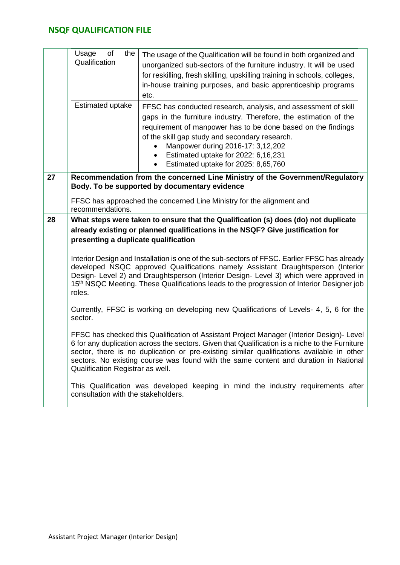|    | Usage<br>of<br>the<br>Qualification<br>Estimated uptake | The usage of the Qualification will be found in both organized and<br>unorganized sub-sectors of the furniture industry. It will be used<br>for reskilling, fresh skilling, upskilling training in schools, colleges,<br>in-house training purposes, and basic apprenticeship programs<br>etc.                                                                                       |  |
|----|---------------------------------------------------------|--------------------------------------------------------------------------------------------------------------------------------------------------------------------------------------------------------------------------------------------------------------------------------------------------------------------------------------------------------------------------------------|--|
|    |                                                         | FFSC has conducted research, analysis, and assessment of skill<br>gaps in the furniture industry. Therefore, the estimation of the<br>requirement of manpower has to be done based on the findings<br>of the skill gap study and secondary research.<br>Manpower during 2016-17: 3,12,202<br>Estimated uptake for 2022: 6,16,231<br>Estimated uptake for 2025: 8,65,760<br>$\bullet$ |  |
| 27 | recommendations.                                        | Recommendation from the concerned Line Ministry of the Government/Regulatory<br>Body. To be supported by documentary evidence<br>FFSC has approached the concerned Line Ministry for the alignment and                                                                                                                                                                               |  |
| 28 | presenting a duplicate qualification                    | What steps were taken to ensure that the Qualification (s) does (do) not duplicate<br>already existing or planned qualifications in the NSQF? Give justification for                                                                                                                                                                                                                 |  |
|    | roles.                                                  | Interior Design and Installation is one of the sub-sectors of FFSC. Earlier FFSC has already<br>developed NSQC approved Qualifications namely Assistant Draughtsperson (Interior<br>Design- Level 2) and Draughtsperson (Interior Design- Level 3) which were approved in<br>15 <sup>th</sup> NSQC Meeting. These Qualifications leads to the progression of Interior Designer job   |  |
|    | sector.                                                 | Currently, FFSC is working on developing new Qualifications of Levels- 4, 5, 6 for the                                                                                                                                                                                                                                                                                               |  |
|    | Qualification Registrar as well.                        | FFSC has checked this Qualification of Assistant Project Manager (Interior Design)- Level<br>6 for any duplication across the sectors. Given that Qualification is a niche to the Furniture<br>sector, there is no duplication or pre-existing similar qualifications available in other<br>sectors. No existing course was found with the same content and duration in National     |  |
|    | consultation with the stakeholders.                     | This Qualification was developed keeping in mind the industry requirements after                                                                                                                                                                                                                                                                                                     |  |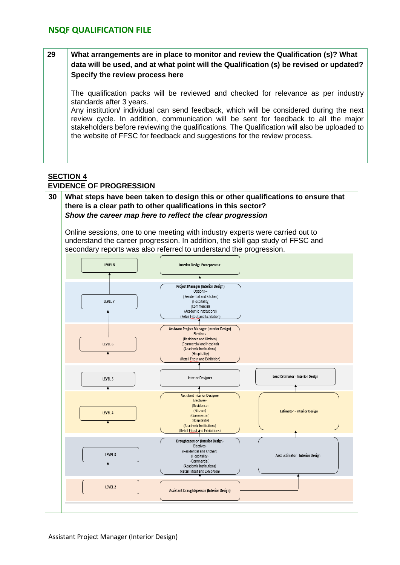### **29 What arrangements are in place to monitor and review the Qualification (s)? What data will be used, and at what point will the Qualification (s) be revised or updated? Specify the review process here**

The qualification packs will be reviewed and checked for relevance as per industry standards after 3 years.

Any institution/ individual can send feedback, which will be considered during the next review cycle. In addition, communication will be sent for feedback to all the major stakeholders before reviewing the qualifications. The Qualification will also be uploaded to the website of FFSC for feedback and suggestions for the review process.

#### **SECTION 4 EVIDENCE OF PROGRESSION**

### **30 What steps have been taken to design this or other qualifications to ensure that there is a clear path to other qualifications in this sector?** *Show the career map here to reflect the clear progression*

Online sessions, one to one meeting with industry experts were carried out to understand the career progression. In addition, the skill gap study of FFSC and secondary reports was also referred to understand the progression.